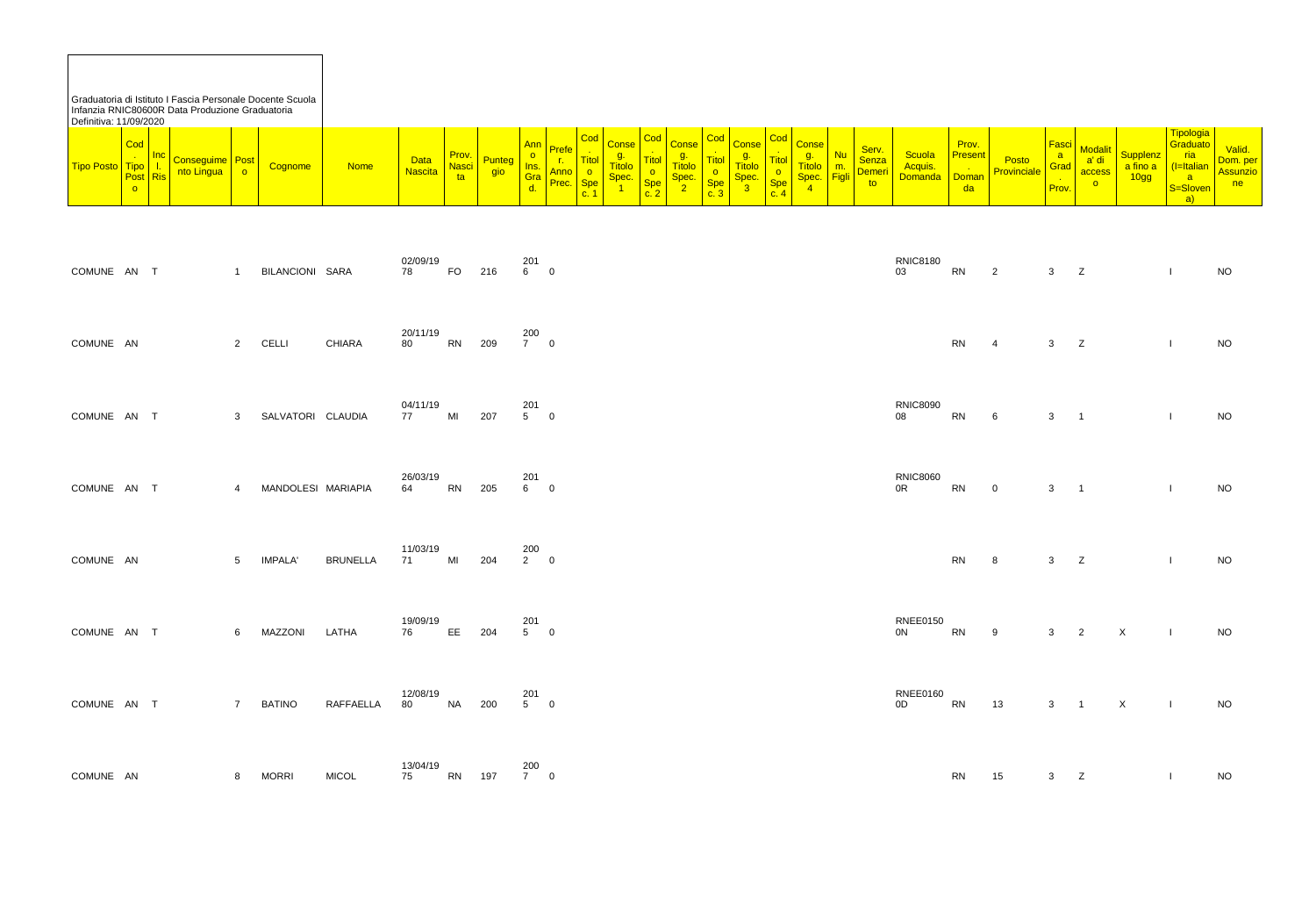Graduatoria di Istituto I Fascia Personale Docente Scuola Infanzia RNIC80600R Data Produzione Graduatoria Definitiva: 11/09/2020

| $\overline{\textsf{Cod}}$<br>Cod<br><b>Cod</b><br>Codl<br>Cod<br>$\sim$<br><b>Ann</b><br><b>Conse</b><br><b>Conse</b><br><b>Conse</b><br><b>Prefe</b><br>Prov.<br><u>Inc</u><br>$\sim$<br>α.<br>g.<br><u>g.,</u><br>$- - -$<br>$-$<br><b>Data</b><br>Post<br><u>∽onseguime   Pr</u><br><u> Titol </u><br>Punteg<br><mark>l Itol i</mark><br><b>Itol</b><br><b>Titolo</b><br><b>Titolo</b><br><b>Titolo</b><br><b>Titolo</b><br>. .<br>$- - -$<br><b>Tipo Posto</b><br><b>Nasci</b><br><b>Nome</b><br><mark><mark>¿ognome</mark></mark><br><u>Ins. I</u><br><b>Tipo</b><br>m.<br><b>Nascita</b><br>gio<br>Anno<br>nto Lingua<br>$\overline{O}$<br>$\overline{O}$<br>Post Ris<br>Gra<br>Spec.<br><b>Figli</b><br>Spec.<br>Spec.<br>Spec.<br>ta<br><b>Spe</b><br>C <sub>n</sub><br>Prec.<br><b>Spe</b><br>Spe<br>$\overline{\mathbf{v}}$<br>$\sim$<br>$\circ$<br>4<br><u>u.</u><br>r<br><u>.</u><br>c.2<br>$\sim$ 4<br><u>c. ა</u><br>v. |
|---------------------------------------------------------------------------------------------------------------------------------------------------------------------------------------------------------------------------------------------------------------------------------------------------------------------------------------------------------------------------------------------------------------------------------------------------------------------------------------------------------------------------------------------------------------------------------------------------------------------------------------------------------------------------------------------------------------------------------------------------------------------------------------------------------------------------------------------------------------------------------------------------------------------------------------|
|                                                                                                                                                                                                                                                                                                                                                                                                                                                                                                                                                                                                                                                                                                                                                                                                                                                                                                                                       |

| Ann<br>O<br>Ins.<br>Gra<br>d. | Prefe<br>$\mathbf{r}$ .<br>Anno<br>Prec. | $\vert$ Cod $\vert$<br>$\sim$ 10 $\,$<br><b>Titol</b><br>$rac{0}{\text{Spe}}$<br>$\frac{1}{\text{C}}$ | Conse<br>g.<br>Titolo<br>Spec.<br>1 | Cod<br>$\frac{1}{\text{Titol}}$<br>$rac{0}{\text{Spe}}$<br>$c. 2$ | Conse<br>g.<br>Titolo<br>$rac{\text{Spec.}}{2}$ | Cod<br>Titol<br>$rac{0}{\text{Spe}}$<br>$c.3$ | g.<br>Titolo<br>$rac{\text{Spec.}}{3}$ | $\frac{1}{\text{Titol}}$<br>$rac{0}{\text{Spe}}$<br>c. 4 | Conse Cod Conse<br>g.<br>Titolo<br>Spec.<br>$\sqrt{4}$ | <b>Nu</b><br><mark>m.</mark><br><mark>Figli</mark> | Serv.<br>Senza<br>Demeri<br>to | Scuola<br>Acquis.<br>Domanda      | Prov.<br><b>Present</b><br>List<br>Doman<br>da | Posto<br>Provinciale | Fasci  <br>a<br>Grad<br>nia<br>Prov. | Modalit<br>access<br>$\bullet$ | Supplenz<br>a fino a<br>10gg | Tipologia<br>Graduato<br>ria<br>(I=Italian<br><mark>Sesloven</mark><br>$\mathbf{a}$ | Valid.<br>Dom. per<br>Assunzio<br>n e |
|-------------------------------|------------------------------------------|-------------------------------------------------------------------------------------------------------|-------------------------------------|-------------------------------------------------------------------|-------------------------------------------------|-----------------------------------------------|----------------------------------------|----------------------------------------------------------|--------------------------------------------------------|----------------------------------------------------|--------------------------------|-----------------------------------|------------------------------------------------|----------------------|--------------------------------------|--------------------------------|------------------------------|-------------------------------------------------------------------------------------|---------------------------------------|
| 201<br>6 <sup>1</sup>         | $\overline{\phantom{0}}$                 |                                                                                                       |                                     |                                                                   |                                                 |                                               |                                        |                                                          |                                                        |                                                    |                                | <b>RNIC8180</b><br>03             | RN                                             | $\overline{2}$       | $\mathbf{3}$                         | Z                              |                              | $\mathbf{I}$                                                                        | <b>NO</b>                             |
| 200<br>$7\qquad 0$            |                                          |                                                                                                       |                                     |                                                                   |                                                 |                                               |                                        |                                                          |                                                        |                                                    |                                |                                   | <b>RN</b>                                      | 4                    | 3                                    | Z                              |                              |                                                                                     | <b>NO</b>                             |
| 201<br>5                      | $\overline{\phantom{0}}$                 |                                                                                                       |                                     |                                                                   |                                                 |                                               |                                        |                                                          |                                                        |                                                    |                                | <b>RNIC8090</b><br>${\bf 08}$     | ${\sf RN}$                                     | $\,6\,$              | $\mathfrak{S}$                       | $\overline{1}$                 |                              | $\mathbf{I}$                                                                        | <b>NO</b>                             |
| 201<br>$6\qquad 0$            |                                          |                                                                                                       |                                     |                                                                   |                                                 |                                               |                                        |                                                          |                                                        |                                                    |                                | <b>RNIC8060</b><br>0 <sup>R</sup> | <b>RN</b>                                      | $\mathbf 0$          | $\mathbf{3}$                         | $\mathbf{1}$                   |                              | $\mathbf{I}$                                                                        | <b>NO</b>                             |
| 200<br>$2 \qquad 0$           |                                          |                                                                                                       |                                     |                                                                   |                                                 |                                               |                                        |                                                          |                                                        |                                                    |                                |                                   | RN 8                                           |                      | $3^{\circ}$                          | Z                              |                              | $\mathbf{L}$                                                                        | <b>NO</b>                             |
| 201<br>5         0            |                                          |                                                                                                       |                                     |                                                                   |                                                 |                                               |                                        |                                                          |                                                        |                                                    |                                | <b>RNEE0150</b><br>0 <sup>N</sup> | ${\sf RN}$                                     | 9                    | $3\qquad 2$                          |                                | $\mathsf{X}$                 | $\mathbf{I}$                                                                        | <b>NO</b>                             |
| 201<br>$5\qquad 0$            |                                          |                                                                                                       |                                     |                                                                   |                                                 |                                               |                                        |                                                          |                                                        |                                                    |                                | <b>RNEE0160</b><br>0D             | <b>RN</b>                                      | 13                   | $3 \quad 1$                          |                                | $\mathsf X$                  | $\mathbf{I}$                                                                        | <b>NO</b>                             |
| 200<br>7         0            |                                          |                                                                                                       |                                     |                                                                   |                                                 |                                               |                                        |                                                          |                                                        |                                                    |                                |                                   | <b>RN</b>                                      | 15                   | $\mathbf{3}$                         | $\mathsf{Z}$                   |                              |                                                                                     | <b>NO</b>                             |

| COMUNE AN T |        | $1 \quad \Box$ | BILANCIONI SARA    |                  | 02/09/19<br>78 | <b>FO</b> | 216 | 201<br>6            | $\overline{0}$   |
|-------------|--------|----------------|--------------------|------------------|----------------|-----------|-----|---------------------|------------------|
| COMUNE AN   |        | $2^{\circ}$    | <b>CELLI</b>       | <b>CHIARA</b>    | 20/11/19<br>80 | <b>RN</b> | 209 | 200<br>$7\qquad 0$  |                  |
| COMUNE AN   | $\top$ | $3^{\circ}$    | SALVATORI CLAUDIA  |                  | 04/11/19<br>77 | MI        | 207 | 201<br>$5^{\circ}$  | $\overline{0}$   |
| COMUNE AN   | $\top$ | $\overline{4}$ | MANDOLESI MARIAPIA |                  | 26/03/19<br>64 | <b>RN</b> | 205 | 201<br>6            | $\mathbf 0$      |
| COMUNE AN   |        | 5 <sup>5</sup> | <b>IMPALA'</b>     | <b>BRUNELLA</b>  | 11/03/19<br>71 | MI        | 204 | 200<br>$2 \qquad 0$ |                  |
| COMUNE AN   | $\top$ | 6              | MAZZONI            | LATHA            | 19/09/19<br>76 | EE.       | 204 | 201<br>5            | $\boldsymbol{0}$ |
| COMUNE AN   | $\top$ | $\overline{7}$ | <b>BATINO</b>      | <b>RAFFAELLA</b> | 12/08/19<br>80 | <b>NA</b> | 200 | 201<br>5            | $\pmb{0}$        |
| COMUNE AN   |        | 8              | <b>MORRI</b>       | <b>MICOL</b>     | 13/04/19<br>75 | <b>RN</b> | 197 | 200<br>$7 \qquad 0$ |                  |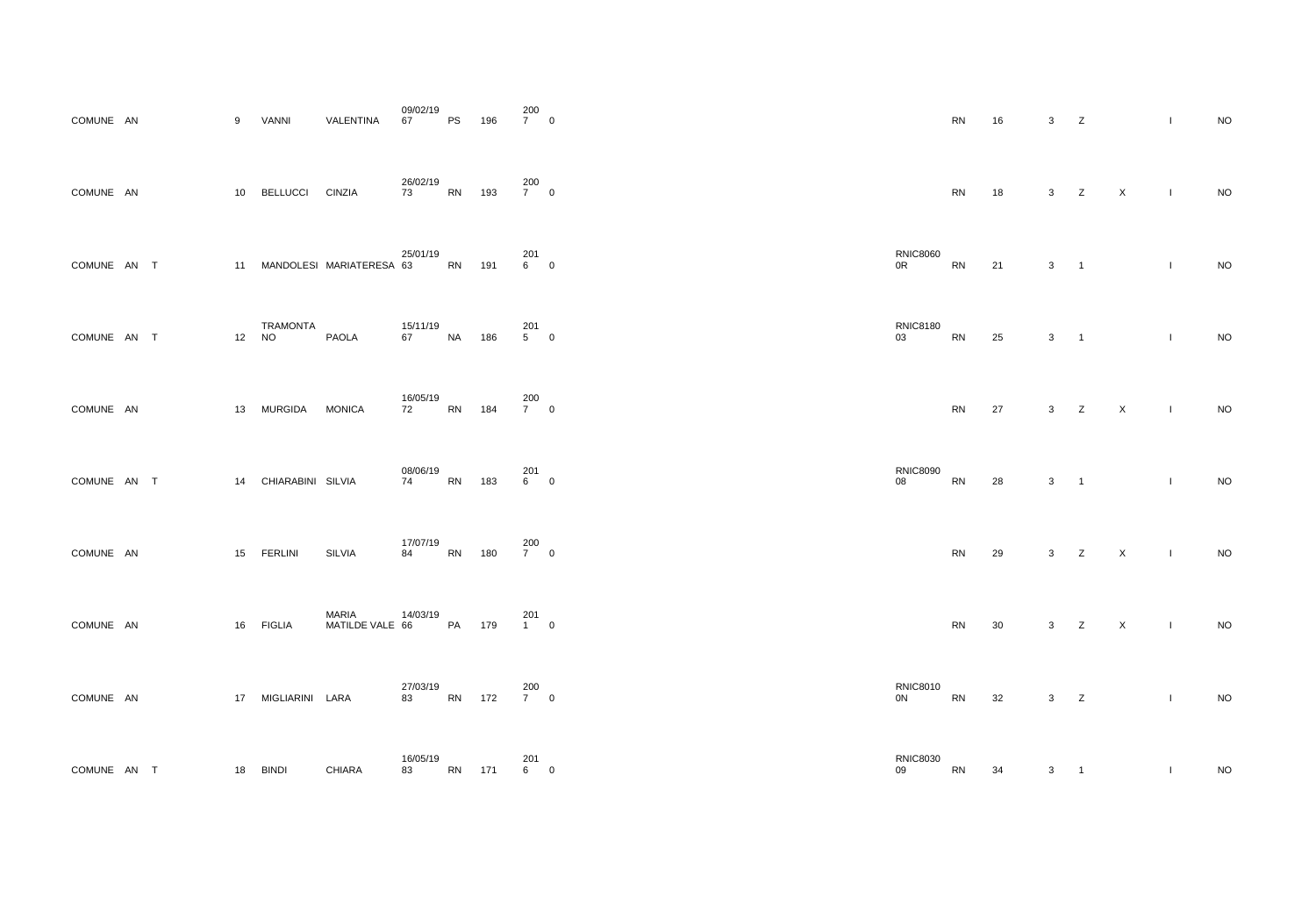| COMUNE AN     |      |             | 9  | <b>VANNI</b>                 | VALENTINA                       | 09/02/19<br>67 | <b>PS</b> | 196 | 200<br>$\overline{7}$ | $\overline{0}$ |
|---------------|------|-------------|----|------------------------------|---------------------------------|----------------|-----------|-----|-----------------------|----------------|
| COMUNE AN     |      |             | 10 | <b>BELLUCCI</b>              | <b>CINZIA</b>                   | 26/02/19<br>73 | <b>RN</b> | 193 | 200<br>7 <sup>7</sup> | $\mathbf 0$    |
| COMUNE AN     |      | $\top$      | 11 |                              | MANDOLESI MARIATERESA 63        | 25/01/19       | <b>RN</b> | 191 | 201<br>6              | $\mathbf 0$    |
| COMUNE AN     |      | $\top$      | 12 | <b>TRAMONTA</b><br><b>NO</b> | <b>PAOLA</b>                    | 15/11/19<br>67 | <b>NA</b> | 186 | 201<br>5              | $\overline{0}$ |
| COMUNE AN     |      |             | 13 | <b>MURGIDA</b>               | <b>MONICA</b>                   | 16/05/19<br>72 | RN        | 184 | 200<br>$\overline{7}$ | $\mathbf 0$    |
| <b>COMUNE</b> | AN   | $\top$      | 14 | CHIARABINI SILVIA            |                                 | 08/06/19<br>74 | <b>RN</b> | 183 | 201<br>6              | $\overline{0}$ |
| COMUNE AN     |      |             | 15 | <b>FERLINI</b>               | <b>SILVIA</b>                   | 17/07/19<br>84 | <b>RN</b> | 180 | 200<br>7 <sup>7</sup> | $\mathbf 0$    |
| <b>COMUNE</b> | - AN |             | 16 | <b>FIGLIA</b>                | <b>MARIA</b><br>MATILDE VALE 66 | 14/03/19       | PA        | 179 | 201<br>$1 \quad$      | $\mathbf 0$    |
| COMUNE AN     |      |             | 17 | MIGLIARINI LARA              |                                 | 27/03/19<br>83 | <b>RN</b> | 172 | 200<br>$7^{\circ}$    | $\mathbf 0$    |
| <b>COMUNE</b> | AN   | $\mathsf T$ | 18 | <b>BINDI</b>                 | <b>CHIARA</b>                   | 16/05/19<br>83 | <b>RN</b> | 171 | 201<br>6              | $\mathbf 0$    |

| $7\qquad 0$        |             |                                   | ${\sf RN}$ | 16     | $\mathbf{3}$                             | Z             |              | $\bar{\mathbf{I}}$ | $\rm NO$ |
|--------------------|-------------|-----------------------------------|------------|--------|------------------------------------------|---------------|--------------|--------------------|----------|
| 200<br>7         0 |             |                                   | ${\sf RN}$ | 18     |                                          | $3 \t Z \t X$ |              | $\mathbf{I}$       | $\rm NO$ |
| 201<br>6         0 |             | <b>RNIC8060</b><br>0 <sup>R</sup> | RN         | 21     | $3 \qquad 1$                             |               |              | $\mathbf{I}$       | $\rm NO$ |
| 201<br>5         0 |             | <b>RNIC8180</b><br>03             | ${\sf RN}$ | 25     | $\mathbf{3}$<br>$\overline{\phantom{a}}$ |               |              | $\mathbf{I}$       | $\rm NO$ |
| 200<br>7         0 |             |                                   | ${\sf RN}$ | 27     |                                          | $3 \t Z \t X$ |              | $\sim 1$ .         | $\rm NO$ |
| 201<br>6         0 |             | <b>RNIC8090</b><br>08             | ${\sf RN}$ | 28     | $\mathbf{3}$<br>$\overline{\phantom{a}}$ |               |              | $\mathbf{I}$       | $\sf NO$ |
| 200<br>7         0 |             |                                   | ${\sf RN}$ | $29\,$ | Z<br>$\mathbf{3}$                        |               | $\mathsf{X}$ | $\mathbf{I}$       | $\rm NO$ |
| 201<br>1         0 |             |                                   | ${\sf RN}$ | $30\,$ | $3\qquad Z$                              |               | $\mathsf X$  | $\mathbf{L}$       | $\rm NO$ |
| 200<br>7         0 |             | <b>RNIC8010</b><br>0N             | RN         | 32     | $3\qquad Z$                              |               |              | $\mathbf{I}$       | $\rm NO$ |
| 201<br>6           | $\mathbf 0$ | <b>RNIC8030</b><br>09             | ${\sf RN}$ | $34\,$ | $\mathbf{3}$<br>$\overline{1}$           |               |              | $\mathbf{I}$       | $\rm NO$ |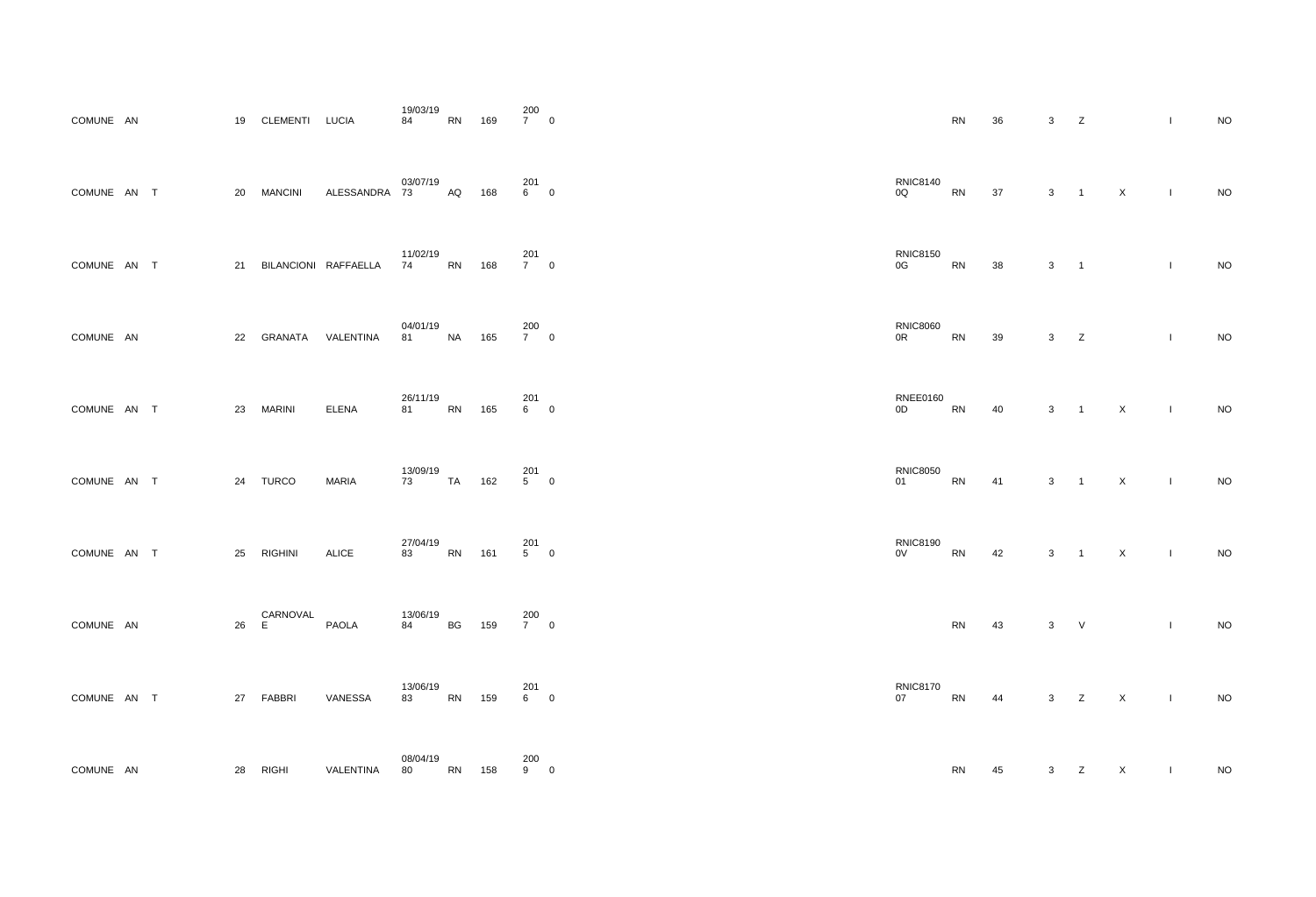| COMUNE AN     |           |        | 19 | CLEMENTI LUCIA |                      | 19/03/19<br>84     | <b>RN</b> | 169 | 200<br>$\overline{7}$ | $\overline{0}$ |
|---------------|-----------|--------|----|----------------|----------------------|--------------------|-----------|-----|-----------------------|----------------|
| COMUNE AN     |           | $\top$ | 20 | <b>MANCINI</b> | ALESSANDRA           | 03/07/19<br>73     | AQ        | 168 | 201<br>6              | $\overline{0}$ |
| COMUNE AN     |           | $\top$ | 21 |                | BILANCIONI RAFFAELLA | 11/02/19<br>74     | <b>RN</b> | 168 | 201<br>$\overline{7}$ | $\mathbf 0$    |
| COMUNE AN     |           |        | 22 | GRANATA        | VALENTINA            | 04/01/19<br>81     | <b>NA</b> | 165 | 200<br>$7^{\circ}$    | $\overline{0}$ |
| COMUNE AN     |           | $\top$ | 23 | <b>MARINI</b>  | <b>ELENA</b>         | 26/11/19<br>81     | <b>RN</b> | 165 | 201<br>6              | $\mathbf 0$    |
| <b>COMUNE</b> | <b>AN</b> | $\top$ | 24 | <b>TURCO</b>   | <b>MARIA</b>         | 13/09/19<br>73 — 1 | <b>TA</b> | 162 | 201<br>5              | $\overline{0}$ |
| COMUNE AN T   |           |        | 25 | <b>RIGHINI</b> | ALICE                | 27/04/19<br>83     | <b>RN</b> | 161 | 201<br>5              | $\mathbf 0$    |
| <b>COMUNE</b> | - AN      |        | 26 | CARNOVAL<br>E  | <b>PAOLA</b>         | 13/06/19<br>84     | BG        | 159 | 200<br>7 <sup>7</sup> | $\overline{0}$ |
| COMUNE AN     |           | $\top$ | 27 | FABBRI         | VANESSA              | 13/06/19<br>83     | <b>RN</b> | 159 | 201<br>6              | $\mathbf 0$    |
| <b>COMUNE</b> | <b>AN</b> |        | 28 | <b>RIGHI</b>   | VALENTINA            | 08/04/19<br>80     | <b>RN</b> | 158 | 200<br>9              | $\mathbf 0$    |

| $\frac{1}{7}$ 0     |                                   | ${\sf RN}$ | $36\,$     | $\mathbf{3}$                               | Z                   |                | $\mathbf{I}$  | $\sf NO$ |
|---------------------|-----------------------------------|------------|------------|--------------------------------------------|---------------------|----------------|---------------|----------|
| 201<br>6         0  | <b>RNIC8140</b><br>0Q             | ${\sf RN}$ | 37         | $3 \qquad 1$                               |                     | $\mathsf{X}$   | $\mathbf{I}$  | $\rm NO$ |
| 201<br>7         0  | <b>RNIC8150</b><br>0G             | <b>RN</b>  | 38         | $\mathbf{3}$<br>$\overline{\phantom{a}}$   |                     |                | $\mathbf{I}$  | $\sf NO$ |
| 200<br>7         0  | <b>RNIC8060</b><br>0 <sup>R</sup> | ${\sf RN}$ | 39         | $3\qquad Z$                                |                     |                | $\mathbf{L}$  | $\rm NO$ |
| 201<br>6          0 | <b>RNEE0160</b><br>0D             | RN         | 40         | 3 <sup>1</sup><br>$\overline{\phantom{1}}$ |                     | $\mathsf{X}$   | $\mathcal{A}$ | $\rm NO$ |
| 201<br>5         0  | <b>RNIC8050</b><br>01             | ${\sf RN}$ | 41         | $3 \quad 1$                                |                     | $\mathsf{X}^-$ | $\sim 1$ .    | $\rm NO$ |
| 201<br>5         0  | <b>RNIC8190</b><br>$0\mathrm{V}$  | ${\sf RN}$ | $42\,$     |                                            | $3 \quad 1 \quad X$ | $\sim 10$      |               | $\sf NO$ |
| 200<br>7         0  |                                   | ${\sf RN}$ | 43         | $3$ V                                      |                     |                | $\mathbf{I}$  | $\rm NO$ |
| 201<br>6         0  | <b>RNIC8170</b><br>07             | <b>RN</b>  | 44 3 Z X I |                                            |                     |                |               | $\rm NO$ |
| 200<br>9          0 |                                   | ${\sf RN}$ | 45         |                                            | $3\qquad Z$         | $\mathsf{X}^-$ | $\mathbf{L}$  | $\rm NO$ |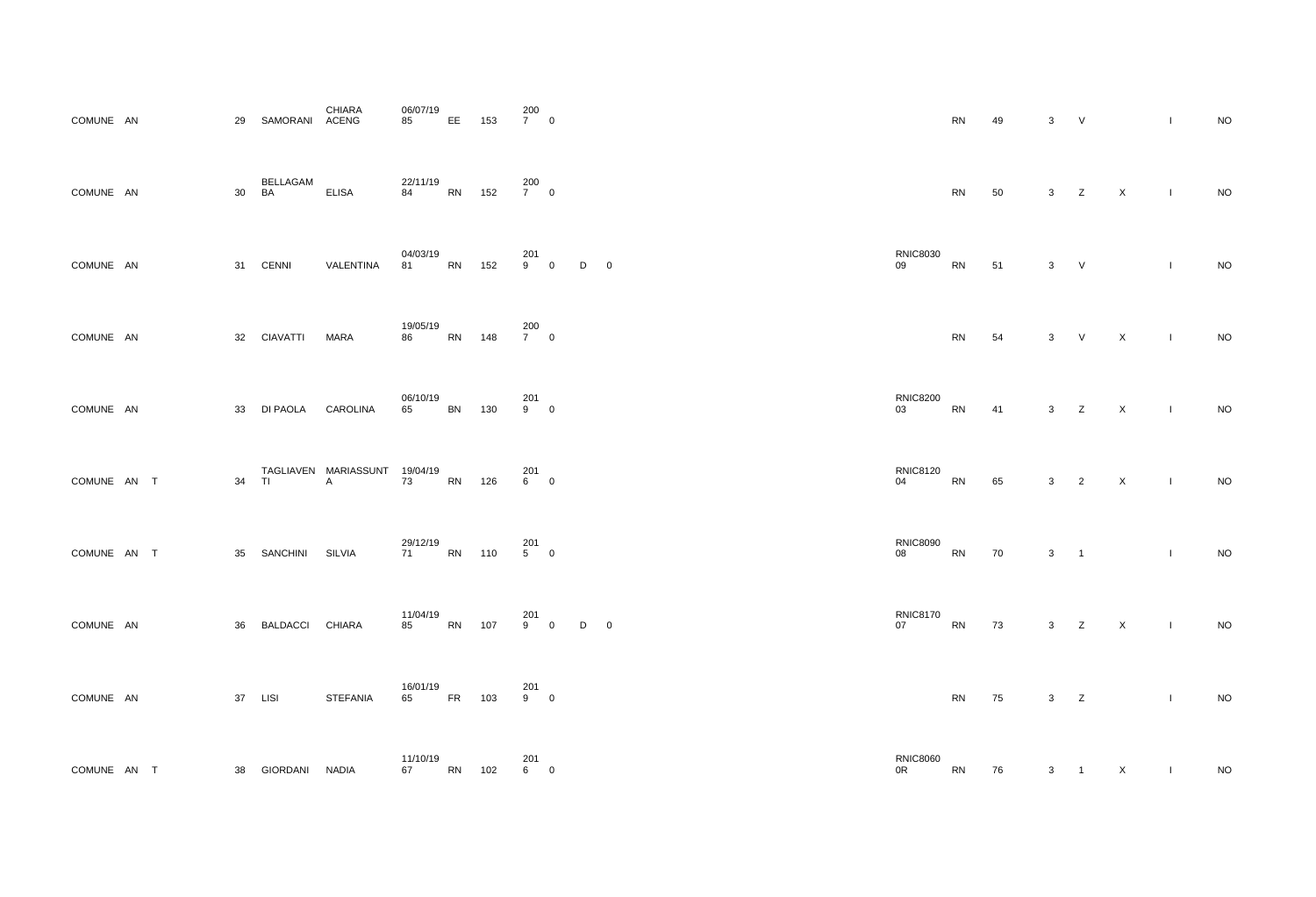| COMUNE AN   |              | 29 | SAMORANI        | <b>CHIARA</b><br><b>ACENG</b>      | 06/07/19<br>85 | EE        | 153 | 200<br>$7\qquad 0$    |                     |   |             |
|-------------|--------------|----|-----------------|------------------------------------|----------------|-----------|-----|-----------------------|---------------------|---|-------------|
| COMUNE AN   |              | 30 | BELLAGAM<br>BA  | <b>ELISA</b>                       | 22/11/19<br>84 | <b>RN</b> | 152 | 200<br>$7\qquad 0$    |                     |   |             |
| COMUNE AN   |              | 31 | <b>CENNI</b>    | VALENTINA                          | 04/03/19<br>81 | <b>RN</b> | 152 | 201<br>9              | $\mathsf{O}\xspace$ | D | $\mathbf 0$ |
| COMUNE AN   |              | 32 | <b>CIAVATTI</b> | <b>MARA</b>                        | 19/05/19<br>86 | <b>RN</b> | 148 | 200<br>$7\qquad 0$    |                     |   |             |
| COMUNE AN   |              | 33 | DI PAOLA        | <b>CAROLINA</b>                    | 06/10/19<br>65 | <b>BN</b> | 130 | 201<br>9              | $\mathbf 0$         |   |             |
| COMUNE AN   | $\mathsf{T}$ | 34 | <b>TI</b>       | TAGLIAVEN MARIASSUNT 19/04/19<br>A | 73             | <b>RN</b> | 126 | 201<br>$6 -$          | $\mathbf 0$         |   |             |
| COMUNE AN T |              | 35 | SANCHINI        | <b>SILVIA</b>                      | 29/12/19<br>71 | <b>RN</b> | 110 | 201<br>5 <sup>5</sup> | $\boldsymbol{0}$    |   |             |
| COMUNE AN   |              | 36 | <b>BALDACCI</b> | <b>CHIARA</b>                      | 11/04/19<br>85 | <b>RN</b> | 107 | 201<br>9              | $\pmb{0}$           | D | 0           |
| COMUNE AN   |              | 37 | <b>LISI</b>     | <b>STEFANIA</b>                    | 16/01/19<br>65 | <b>FR</b> | 103 | 201<br>9              | $\boldsymbol{0}$    |   |             |
| COMUNE AN T |              | 38 | <b>GIORDANI</b> | <b>NADIA</b>                       | 11/10/19<br>67 | <b>RN</b> | 102 | 201<br>$6\degree$     | $\pmb{0}$           |   |             |

| $\frac{1}{7}$ 0    |   |                         |                       | ${\sf RN}$ | 49     | $\mathfrak{S}$ | $\vee$         |              | $\mathbf{I}$     | NO        |
|--------------------|---|-------------------------|-----------------------|------------|--------|----------------|----------------|--------------|------------------|-----------|
| 200<br>7         0 |   |                         |                       | ${\sf RN}$ | 50     |                | $3 \t Z \t X$  |              | $\sim 1^{\circ}$ | $\rm NO$  |
| 201<br>9         0 | D | $\overline{\mathbf{0}}$ | <b>RNIC8030</b><br>09 | RN         | 51     | $3$ V          |                |              | $\mathbf{I}$     | $\sf NO$  |
| 200<br>7         0 |   |                         |                       | ${\sf RN}$ | 54     | 3 <sup>1</sup> | $\vee$         | $\mathsf{X}$ | $\mathbf{L}$     | $\rm NO$  |
| 201<br>9         0 |   |                         | <b>RNIC8200</b><br>03 | ${\sf RN}$ | 41     |                | $3 \t Z \t X$  | $\sim 10$    |                  | $\rm NO$  |
| 201<br>6         0 |   |                         | <b>RNIC8120</b><br>04 | ${\sf RN}$ | 65     |                | $3\qquad 2$    | $\mathsf{X}$ | $\sim 100$       | $\rm NO$  |
| 201<br>5         0 |   |                         | <b>RNIC8090</b><br>08 | ${\sf RN}$ | $70\,$ | $\mathbf{3}$   | $\overline{1}$ |              | $\mathbf{I}$     | $\sf{NO}$ |
| 201<br>9         0 | D | $\overline{\mathbf{0}}$ | <b>RNIC8170</b><br>07 | RN         | 73     |                | $3 \t Z \t X$  |              | $\sim 1$         | $NO$      |
| 201<br>9         0 |   |                         |                       | RN         | 75     | $3 \t Z$       |                |              | $\mathbf{I}$     | $\rm NO$  |
| 201<br>6         0 |   |                         | <b>RNIC8060</b><br>0R | RN         | 76     |                | $3 \quad 1$    | $\mathsf{X}$ | $\mathbf{L}$     | $\rm NO$  |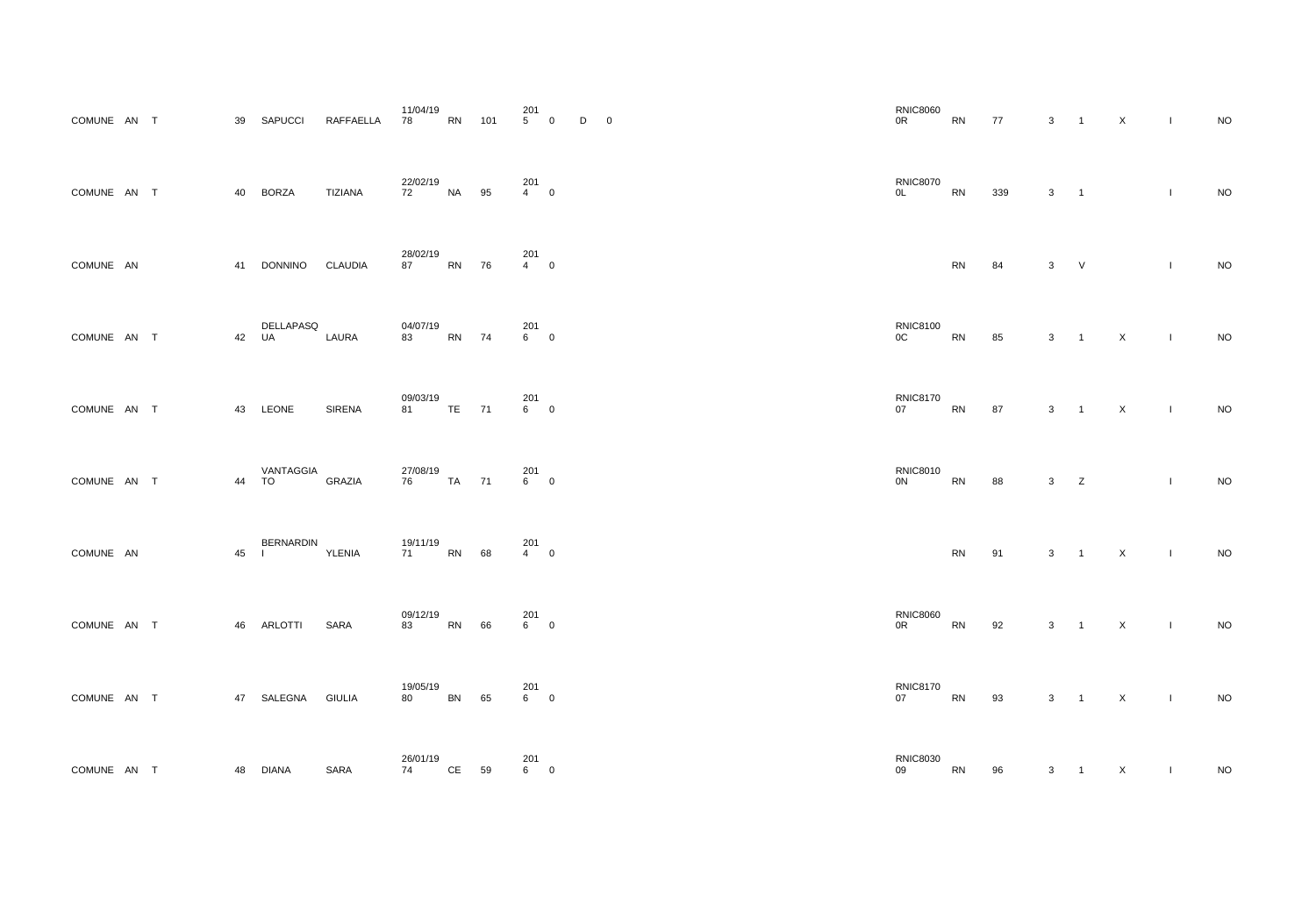| COMUNE AN T |        | 39 | <b>SAPUCCI</b>                   | RAFFAELLA      | 11/04/19<br>78      | <b>RN</b> | 101 | 201<br>5 <sup>5</sup> | $\mathbf 0$      | D | $\overline{0}$ |
|-------------|--------|----|----------------------------------|----------------|---------------------|-----------|-----|-----------------------|------------------|---|----------------|
| COMUNE AN T |        | 40 | <b>BORZA</b>                     | <b>TIZIANA</b> | 22/02/19<br>72      | <b>NA</b> | 95  | 201<br>$4 \quad$      | $\mathbf 0$      |   |                |
| COMUNE AN   |        | 41 | DONNINO CLAUDIA                  |                | 28/02/19<br>87      | <b>RN</b> | 76  | 201<br>$4 \quad$      | $\mathbf 0$      |   |                |
| COMUNE AN T |        | 42 | DELLAPASQ<br><b>UA</b>           | LAURA          | 04/07/19<br>83      | <b>RN</b> | 74  | 201<br>$6 -$          | $\mathbf 0$      |   |                |
| COMUNE AN T |        | 43 | LEONE                            | <b>SIRENA</b>  | 09/03/19<br>81 - 10 | <b>TE</b> | 71  | 201<br>$6 -$          | $\boldsymbol{0}$ |   |                |
| COMUNE AN   | $\top$ | 44 | VANTAGGIA<br><b>TO</b>           | <b>GRAZIA</b>  | 27/08/19<br>76 — 17 | <b>TA</b> | 71  | 201<br>6              | $\mathbf 0$      |   |                |
| COMUNE AN   |        | 45 | <b>BERNARDIN</b><br>$\mathbf{I}$ | YLENIA         | 19/11/19<br>71      | <b>RN</b> | 68  | 201<br>$\overline{4}$ | $\boldsymbol{0}$ |   |                |
| COMUNE AN T |        | 46 | <b>ARLOTTI</b>                   | <b>SARA</b>    | 09/12/19<br>83      | <b>RN</b> | 66  | 201<br>$6 -$          | $\overline{0}$   |   |                |
| COMUNE AN T |        | 47 | SALEGNA GIULIA                   |                | 19/05/19<br>80      | <b>BN</b> | 65  | 201<br>6              | $\boldsymbol{0}$ |   |                |
| COMUNE AN T |        | 48 | <b>DIANA</b>                     | <b>SARA</b>    | 26/01/19<br>74      | CE        | 59  | 201<br>$6\quad$       | $\mathbf 0$      |   |                |

| 201<br>5         0  |                | $D \qquad 0$ | <b>RNIC8060</b><br>0 <sup>R</sup> | ${\sf RN}$ | 77  |              | $3 \quad 1 \quad X$      |              | $\sim 10$    | <b>NO</b> |
|---------------------|----------------|--------------|-----------------------------------|------------|-----|--------------|--------------------------|--------------|--------------|-----------|
| 201<br>4         0  |                |              | <b>RNIC8070</b><br>OL             | RN         | 339 | $\mathbf{3}$ | $\overline{\phantom{1}}$ |              | $\mathbf{I}$ | $\rm NO$  |
| 201<br>4          0 |                |              |                                   | ${\sf RN}$ | 84  | $\mathbf{3}$ | V                        |              | $\mathbf{L}$ | $\rm NO$  |
| 201<br>6          0 |                |              | <b>RNIC8100</b><br>OC             | ${\sf RN}$ | 85  | $3 \quad 1$  |                          | $\mathsf{X}$ | $\sim 1$     | $\rm NO$  |
| 201<br>$6\qquad 0$  |                |              | <b>RNIC8170</b><br>07             | ${\sf RN}$ | 87  | $3 \quad 1$  |                          | $\mathsf{X}$ | $\sim 1$     | $\rm NO$  |
| 201<br>6          0 |                |              | <b>RNIC8010</b><br>0 <sup>N</sup> | RN         | 88  | $3\qquad Z$  |                          |              | $\mathbf{I}$ | $\rm NO$  |
| 201<br>4          0 |                |              |                                   | ${\sf RN}$ | 91  |              | $3 \quad 1 \quad X$      | $\sim 10$    |              | <b>NO</b> |
| 201<br>6         0  |                |              | <b>RNIC8060</b><br>0 <sup>R</sup> | RN         | 92  | $3 \quad 1$  |                          | $\mathsf{X}$ | $\mathbf{I}$ | $\rm NO$  |
| 201<br>6         0  |                |              | <b>RNIC8170</b><br>07             | <b>RN</b>  | 93  | $3 \quad 1$  |                          | $\mathsf{X}$ | $\sim 1$     | $\rm NO$  |
| 201<br>6            | $\overline{0}$ |              | <b>RNIC8030</b><br>09             | RN         | 96  | $\mathbf{3}$ | $\overline{1}$           | $\mathsf{X}$ | $\mathbf{I}$ | $\sf NO$  |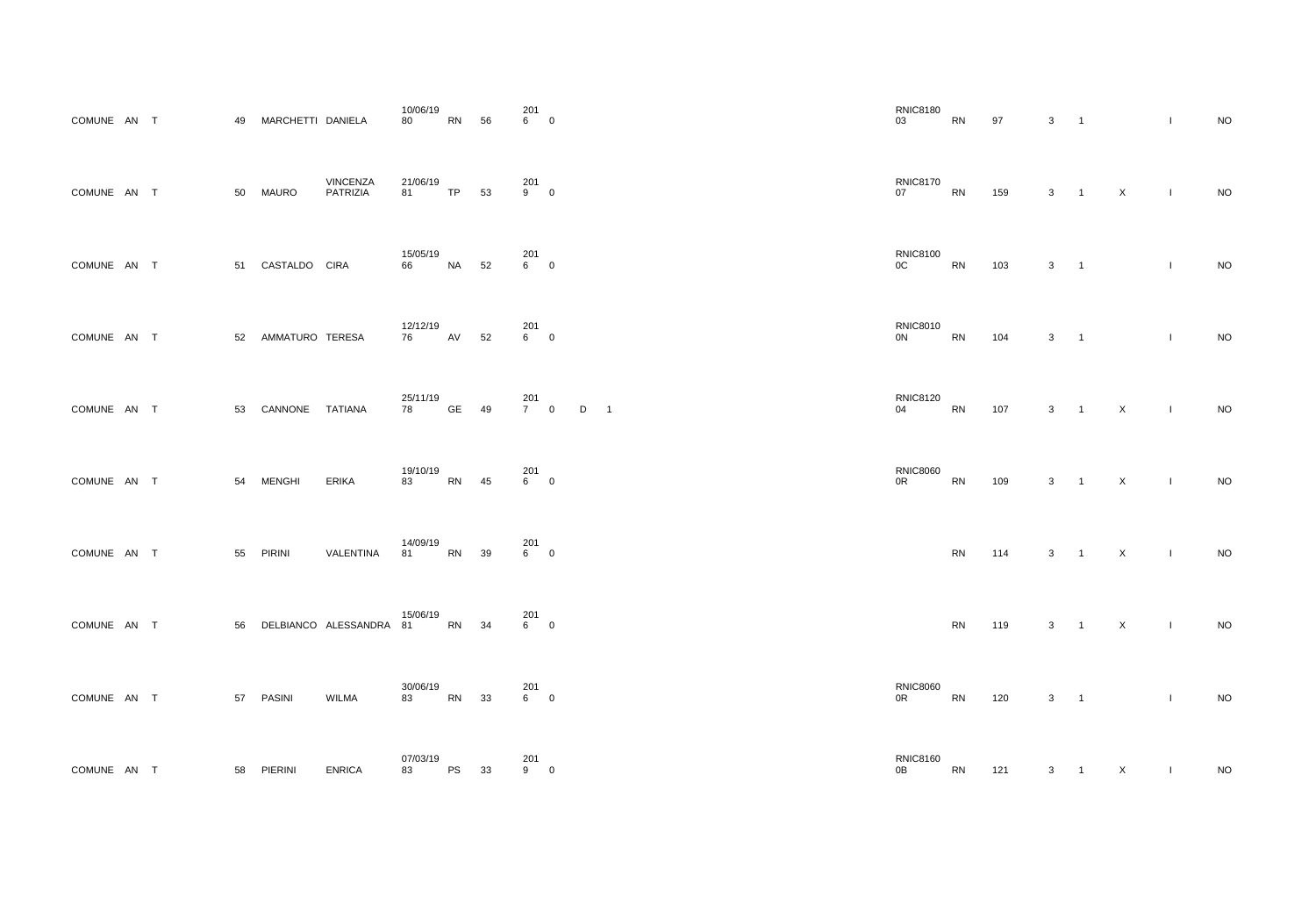| COMUNE AN T |  | 49 | MARCHETTI DANIELA |                      | 10/06/19<br>80     | <b>RN</b> | 56 | 201<br>6 <sup>1</sup> | $\mathbf 0$      |   |   |
|-------------|--|----|-------------------|----------------------|--------------------|-----------|----|-----------------------|------------------|---|---|
| COMUNE AN T |  | 50 | <b>MAURO</b>      | VINCENZA<br>PATRIZIA | 21/06/19<br>81 —   | <b>TP</b> | 53 | 201<br>9              | $\mathbf 0$      |   |   |
| COMUNE AN T |  | 51 | CASTALDO CIRA     |                      | 15/05/19<br>66     | <b>NA</b> | 52 | 201<br>6 <sup>1</sup> | $\mathbf 0$      |   |   |
| COMUNE AN T |  | 52 | AMMATURO TERESA   |                      | 12/12/19<br>76     | AV        | 52 | 201<br>$6 -$          | $\mathbf 0$      |   |   |
| COMUNE AN T |  | 53 | CANNONE           | <b>TATIANA</b>       | 25/11/19<br>78 — 1 | <b>GE</b> | 49 | 201<br>7 <sup>7</sup> | $\mathbf 0$      | D | 1 |
| COMUNE AN T |  | 54 | <b>MENGHI</b>     | <b>ERIKA</b>         | 19/10/19<br>83     | <b>RN</b> | 45 | 201<br>$6 -$          | $\mathbf 0$      |   |   |
| COMUNE AN T |  | 55 | <b>PIRINI</b>     | VALENTINA            | 14/09/19<br>81     | <b>RN</b> | 39 | 201<br>$6 -$          | $\boldsymbol{0}$ |   |   |
| COMUNE AN T |  | 56 |                   | DELBIANCO ALESSANDRA | 15/06/19<br>81 — 1 | <b>RN</b> | 34 | 201<br>$6 -$          | $\mathbf 0$      |   |   |
| COMUNE AN T |  | 57 | <b>PASINI</b>     | <b>WILMA</b>         | 30/06/19<br>83     | <b>RN</b> | 33 | 201<br>6              | $\boldsymbol{0}$ |   |   |
| COMUNE AN T |  | 58 | PIERINI           | <b>ENRICA</b>        | 07/03/19<br>83     | <b>PS</b> | 33 | 201<br>9              | $\mathbf 0$      |   |   |

| 201<br>6         0  |                               | <b>RNIC8180</b><br>03             | RN         | 97                | 3 <sup>1</sup><br>$\overline{1}$           |                          |                | $\mathbf{I}$ | $\sf NO$ |
|---------------------|-------------------------------|-----------------------------------|------------|-------------------|--------------------------------------------|--------------------------|----------------|--------------|----------|
| 201<br>9         0  |                               | <b>RNIC8170</b><br>07             | RN         | 159               | $\mathbf{3}$<br>$\overline{1}$             |                          | $\mathsf{X}$   | $\mathbf{I}$ | $NO$     |
| 201<br>6          0 |                               | <b>RNIC8100</b><br>OC             | RN         | 103               | $\mathbf{3}$<br>$\overline{\phantom{0}}$ 1 |                          |                | $\mathbf{I}$ | $\sf NO$ |
| 201<br>6          0 |                               | <b>RNIC8010</b><br>$0{\sf N}$     | ${\sf RN}$ | 104               | $\mathbf{3}$                               | $\overline{\phantom{a}}$ |                | $\mathbf{L}$ | $\sf NO$ |
| 201<br>7         0  | D<br>$\overline{\phantom{a}}$ | <b>RNIC8120</b><br>04             | ${\sf RN}$ | 107               | 3 <sup>1</sup><br>$\overline{1}$           |                          | $\mathsf{X}$   | $\mathbf{I}$ | $\rm NO$ |
| 201<br>6          0 |                               | <b>RNIC8060</b><br>0 <sup>R</sup> | RN         | 109               | $\mathbf{3}$<br>$\overline{1}$             |                          | X              | $\mathbf{L}$ | $\rm NO$ |
| 201<br>6         0  |                               |                                   | ${\sf RN}$ | $114$ $3$ $1$ $X$ |                                            |                          | $\sim 100$     |              | $NO$     |
| 201<br>6         0  |                               |                                   | ${\sf RN}$ | 119               | $3 \quad 1$                                |                          | $\mathsf{X}$   | $\mathbf{L}$ | $\rm NO$ |
| 201<br>6         0  |                               | <b>RNIC8060</b><br>0R             | RN         | 120               | $3 \qquad 1$                               |                          |                | $\mathbf{I}$ | $\rm NO$ |
| 201<br>9            | $\overline{0}$                | <b>RNIC8160</b><br>0B             | RN         | 121               | 3 <sup>1</sup><br>$\overline{1}$           |                          | $\mathsf{X}^-$ | $\mathbf{I}$ | $\sf NO$ |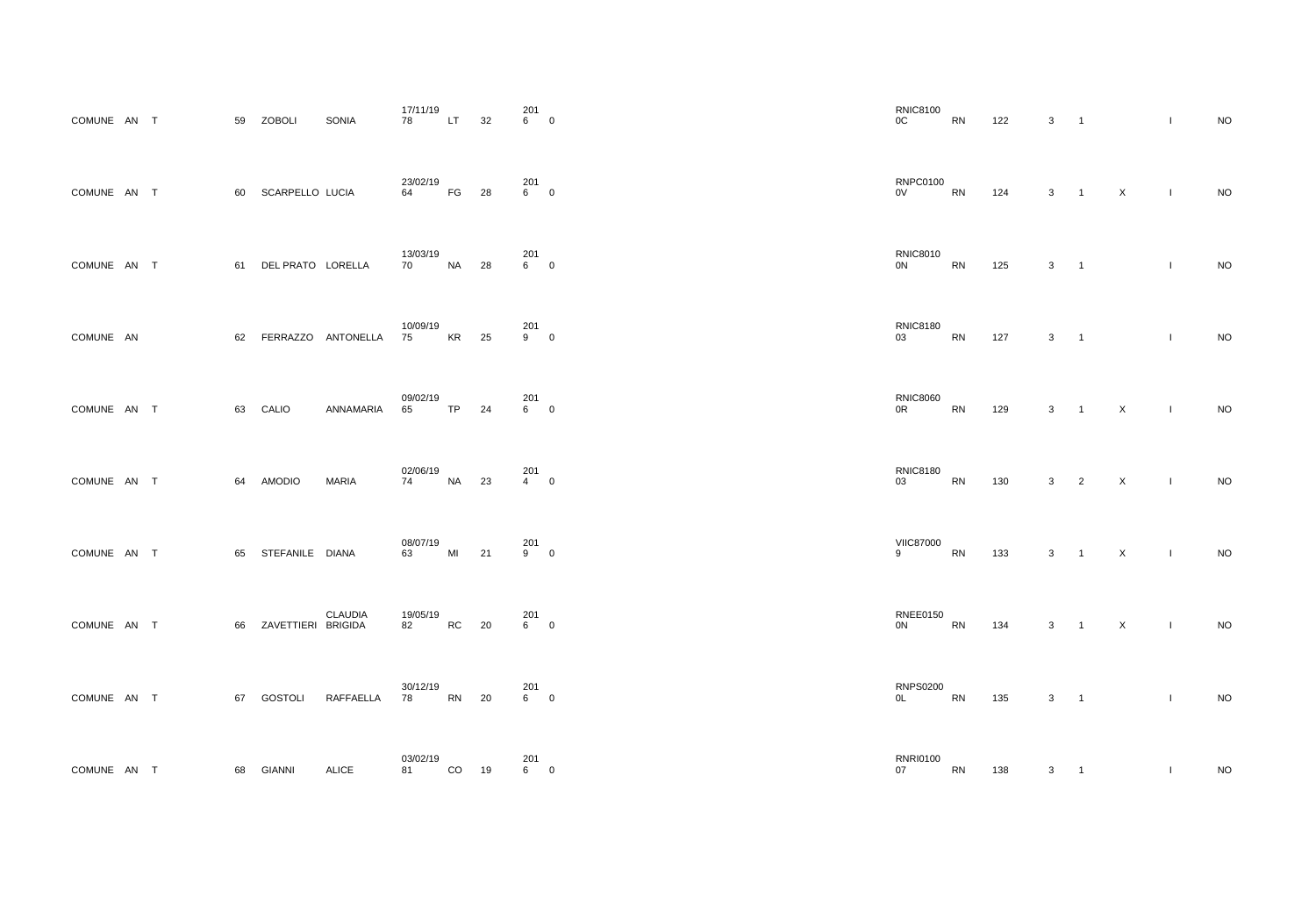| COMUNE AN T   |           |        | 59 | <b>ZOBOLI</b>     | <b>SONIA</b>                     | 17/11/19<br>78 | LT.       | 32 | 201<br>6 | $\mathbf 0$ |
|---------------|-----------|--------|----|-------------------|----------------------------------|----------------|-----------|----|----------|-------------|
| <b>COMUNE</b> | AN        | $\top$ | 60 | SCARPELLO LUCIA   |                                  | 23/02/19<br>64 | FG        | 28 | 201<br>6 | $\mathbf 0$ |
| <b>COMUNE</b> | <b>AN</b> | $\top$ | 61 | DEL PRATO LORELLA |                                  | 13/03/19<br>70 | <b>NA</b> | 28 | 201<br>6 | $\mathbf 0$ |
| <b>COMUNE</b> | - AN      |        | 62 | FERRAZZO          | ANTONELLA                        | 10/09/19<br>75 | <b>KR</b> | 25 | 201<br>9 | $\mathbf 0$ |
| COMUNE AN     |           | $\top$ | 63 | CALIO             | ANNAMARIA                        | 09/02/19<br>65 | <b>TP</b> | 24 | 201<br>6 | $\pmb{0}$   |
| <b>COMUNE</b> | AN        | $\top$ | 64 | <b>AMODIO</b>     | <b>MARIA</b>                     | 02/06/19<br>74 | <b>NA</b> | 23 | 201<br>4 | $\mathbf 0$ |
| COMUNE AN T   |           |        | 65 | STEFANILE DIANA   |                                  | 08/07/19<br>63 | MI        | 21 | 201<br>9 | $\pmb{0}$   |
| <b>COMUNE</b> | AN        | $\top$ | 66 | ZAVETTIERI        | <b>CLAUDIA</b><br><b>BRIGIDA</b> | 19/05/19<br>82 | <b>RC</b> | 20 | 201<br>6 | $\pmb{0}$   |
| <b>COMUNE</b> | <b>AN</b> | $\top$ | 67 | <b>GOSTOLI</b>    | RAFFAELLA                        | 30/12/19<br>78 | <b>RN</b> | 20 | 201<br>6 | $\pmb{0}$   |
| <b>COMUNE</b> | AN T      |        | 68 | <b>GIANNI</b>     | <b>ALICE</b>                     | 03/02/19<br>81 | CO        | 19 | 201<br>6 | $\pmb{0}$   |

| <b>RNIC8100</b><br>OC          | <b>RN</b> | 122 | 3 | $\mathbf 1$    |                | I                                                                                                                                                                                                                                                                                                                                                                                | <b>NO</b> |
|--------------------------------|-----------|-----|---|----------------|----------------|----------------------------------------------------------------------------------------------------------------------------------------------------------------------------------------------------------------------------------------------------------------------------------------------------------------------------------------------------------------------------------|-----------|
| <b>RNPC0100</b><br>$_{\rm OV}$ | <b>RN</b> | 124 | 3 | 1              | X              | I                                                                                                                                                                                                                                                                                                                                                                                | <b>NO</b> |
| <b>RNIC8010</b><br>0N          | RN        | 125 | 3 | $\mathbf 1$    |                | $\begin{array}{c} \rule{0pt}{2.5ex} \rule{0pt}{2.5ex} \rule{0pt}{2.5ex} \rule{0pt}{2.5ex} \rule{0pt}{2.5ex} \rule{0pt}{2.5ex} \rule{0pt}{2.5ex} \rule{0pt}{2.5ex} \rule{0pt}{2.5ex} \rule{0pt}{2.5ex} \rule{0pt}{2.5ex} \rule{0pt}{2.5ex} \rule{0pt}{2.5ex} \rule{0pt}{2.5ex} \rule{0pt}{2.5ex} \rule{0pt}{2.5ex} \rule{0pt}{2.5ex} \rule{0pt}{2.5ex} \rule{0pt}{2.5ex} \rule{0$ | <b>NO</b> |
| <b>RNIC8180</b><br>03          | <b>RN</b> | 127 | 3 | 1              |                | $\begin{array}{c} \rule{0pt}{2.5ex} \rule{0pt}{2.5ex} \rule{0pt}{2.5ex} \rule{0pt}{2.5ex} \rule{0pt}{2.5ex} \rule{0pt}{2.5ex} \rule{0pt}{2.5ex} \rule{0pt}{2.5ex} \rule{0pt}{2.5ex} \rule{0pt}{2.5ex} \rule{0pt}{2.5ex} \rule{0pt}{2.5ex} \rule{0pt}{2.5ex} \rule{0pt}{2.5ex} \rule{0pt}{2.5ex} \rule{0pt}{2.5ex} \rule{0pt}{2.5ex} \rule{0pt}{2.5ex} \rule{0pt}{2.5ex} \rule{0$ | <b>NO</b> |
| <b>RNIC8060</b><br>0R          | <b>RN</b> | 129 | 3 | $\mathbf 1$    | $\pmb{\times}$ | $\mathsf I$                                                                                                                                                                                                                                                                                                                                                                      | <b>NO</b> |
| <b>RNIC8180</b><br>03          | <b>RN</b> | 130 | 3 | $\overline{2}$ | $\mathsf X$    | $\begin{array}{c} \rule{0pt}{2.5ex} \rule{0pt}{2.5ex} \rule{0pt}{2.5ex} \rule{0pt}{2.5ex} \rule{0pt}{2.5ex} \rule{0pt}{2.5ex} \rule{0pt}{2.5ex} \rule{0pt}{2.5ex} \rule{0pt}{2.5ex} \rule{0pt}{2.5ex} \rule{0pt}{2.5ex} \rule{0pt}{2.5ex} \rule{0pt}{2.5ex} \rule{0pt}{2.5ex} \rule{0pt}{2.5ex} \rule{0pt}{2.5ex} \rule{0pt}{2.5ex} \rule{0pt}{2.5ex} \rule{0pt}{2.5ex} \rule{0$ | <b>NO</b> |
| <b>VIIC87000</b><br>9          | RN        | 133 | 3 | $\mathbf 1$    | $\mathsf X$    | $\mathsf I$                                                                                                                                                                                                                                                                                                                                                                      | NO        |
| <b>RNEE0150</b><br>0N          | <b>RN</b> | 134 | 3 | $\mathbf 1$    | $\mathsf X$    | $\begin{array}{c} \hline \end{array}$                                                                                                                                                                                                                                                                                                                                            | <b>NO</b> |
| <b>RNPS0200</b><br>0L          | RN        | 135 | 3 | $\mathbf 1$    |                | $\begin{array}{c} \rule{0pt}{2.5ex} \rule{0pt}{2.5ex} \rule{0pt}{2.5ex} \rule{0pt}{2.5ex} \rule{0pt}{2.5ex} \rule{0pt}{2.5ex} \rule{0pt}{2.5ex} \rule{0pt}{2.5ex} \rule{0pt}{2.5ex} \rule{0pt}{2.5ex} \rule{0pt}{2.5ex} \rule{0pt}{2.5ex} \rule{0pt}{2.5ex} \rule{0pt}{2.5ex} \rule{0pt}{2.5ex} \rule{0pt}{2.5ex} \rule{0pt}{2.5ex} \rule{0pt}{2.5ex} \rule{0pt}{2.5ex} \rule{0$ | <b>NO</b> |
| <b>RNRI0100</b><br>07          | RN        | 138 | 3 | 1              |                | $\mathsf I$                                                                                                                                                                                                                                                                                                                                                                      | <b>NO</b> |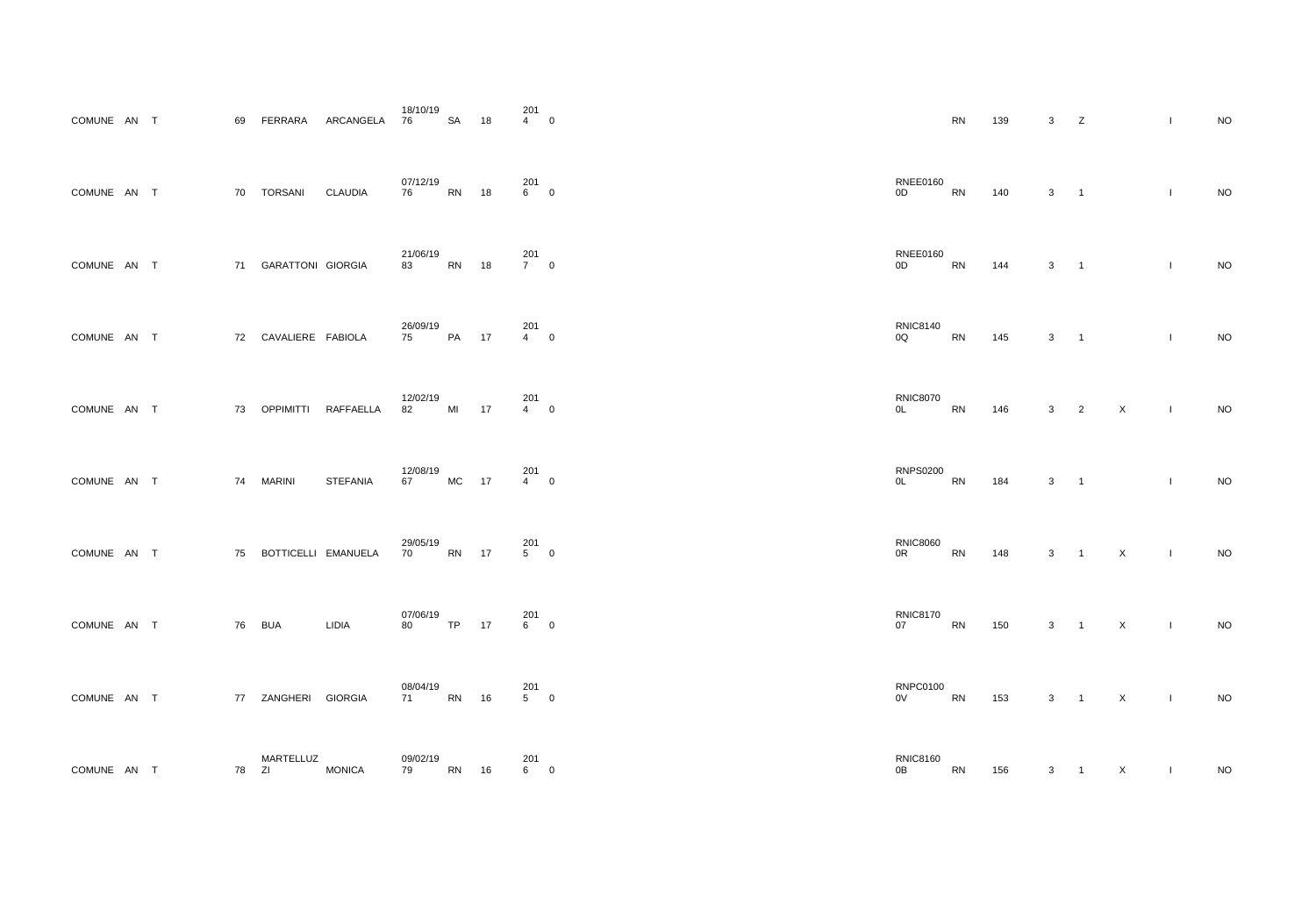| COMUNE AN T   |      |             | 69 | FERRARA                  | ARCANGELA       | 18/10/19<br>76 | <b>SA</b> | 18 | 201<br>$\overline{4}$  | $\pmb{0}$        |
|---------------|------|-------------|----|--------------------------|-----------------|----------------|-----------|----|------------------------|------------------|
| <b>COMUNE</b> | AN   | $\top$      | 70 | <b>TORSANI</b>           | <b>CLAUDIA</b>  | 07/12/19<br>76 | <b>RN</b> | 18 | 201<br>6               | $\boldsymbol{0}$ |
| <b>COMUNE</b> | AN   | $\top$      | 71 | <b>GARATTONI GIORGIA</b> |                 | 21/06/19<br>83 | <b>RN</b> | 18 | 201<br>7 <sup>7</sup>  | $\boldsymbol{0}$ |
| <b>COMUNE</b> | AN   | $\top$      | 72 | CAVALIERE FABIOLA        |                 | 26/09/19<br>75 | PA        | 17 | 201<br>$\overline{4}$  | $\mathbf 0$      |
| <b>COMUNE</b> | AN T |             | 73 | <b>OPPIMITTI</b>         | RAFFAELLA       | 12/02/19<br>82 | MI        | 17 | 201<br>$\overline{4}$  | $\pmb{0}$        |
| <b>COMUNE</b> | AN   | $\top$      | 74 | <b>MARINI</b>            | <b>STEFANIA</b> | 12/08/19<br>67 | <b>MC</b> | 17 | 201<br>4               | $\mathbf 0$      |
| COMUNE AN T   |      |             | 75 | BOTTICELLI EMANUELA      |                 | 29/05/19<br>70 | <b>RN</b> | 17 | 201<br>5               | $\pmb{0}$        |
| <b>COMUNE</b> | AN T |             | 76 | <b>BUA</b>               | <b>LIDIA</b>    | 07/06/19<br>80 | <b>TP</b> | 17 | 201<br>6               | $\boldsymbol{0}$ |
| COMUNE AN T   |      |             | 77 | ZANGHERI                 | <b>GIORGIA</b>  | 08/04/19<br>71 | <b>RN</b> | 16 | 201<br>$5\overline{)}$ | $\pmb{0}$        |
| <b>COMUNE</b> | AN   | $\mathsf T$ | 78 | MARTELLUZ<br>ZI          | <b>MONICA</b>   | 09/02/19<br>79 | RN        | 16 | 201<br>6               | $\pmb{0}$        |

| $\begin{bmatrix} 2 & 0 \\ 4 & 0 \end{bmatrix}$ |             |                                         | ${\sf RN}$ | 139 | $\mathbf{3}$                               | $\mathsf{Z}$        |                            | $\mathbf{I}$ | $\sf NO$ |
|------------------------------------------------|-------------|-----------------------------------------|------------|-----|--------------------------------------------|---------------------|----------------------------|--------------|----------|
| 201<br>6          0                            |             | <b>RNEE0160</b><br>$0\mathsf{D}$        | RN         | 140 | $\mathbf{3}$<br>$\overline{\phantom{0}}$ 1 |                     |                            | $\mathbf{I}$ | $\rm NO$ |
| 201<br>7         0                             |             | <b>RNEE0160</b><br>0D                   | <b>RN</b>  | 144 | $\mathbf{3}$<br>$\overline{1}$             |                     |                            | $\mathbf{I}$ | $\sf NO$ |
| 201<br>$4\qquad 0$                             |             | <b>RNIC8140</b><br>0Q                   | ${\sf RN}$ | 145 | $\mathbf{3}$<br>$\overline{\phantom{1}}$   |                     |                            | $\mathbf{L}$ | $\sf NO$ |
| 201<br>4         0                             |             | <b>RNIC8070</b><br>OL                   | RN         | 146 | $3\qquad 2$                                |                     | $\mathsf{X}$               | $\mathbf{I}$ | $\rm NO$ |
| 201<br>$4\qquad 0$                             |             | <b>RNPS0200</b><br>OL                   | RN         | 184 | $\mathbf{3}$<br>$\overline{\phantom{0}}$ 1 |                     |                            | $\mathbf{I}$ | $\rm NO$ |
| 201<br>5         0                             |             | <b>RNIC8060</b><br>$0{\sf R}$           | RN         | 148 | $\mathbf{3}$<br>$\overline{1}$             |                     | $\mathsf X$                | $\mathbf{I}$ | $NO$     |
| 201<br>6         0                             |             | <b>RNIC8170</b><br>07                   | RN         | 150 |                                            | $3 \quad 1 \quad X$ | $\sim 10$                  |              | $\rm NO$ |
| 201<br>5         0                             |             | <b>RNPC0100</b><br><b>EXAMPLE</b><br>0V |            | 153 |                                            | $3 \quad 1$         | $\mathsf{X}$<br>$\sim 100$ |              | $\sf NO$ |
| 201<br>6                                       | $\mathbf 0$ | <b>RNIC8160</b><br>0B                   | RN         | 156 | $\mathbf{3}$                               | $\overline{1}$      | X                          |              | $\sf NO$ |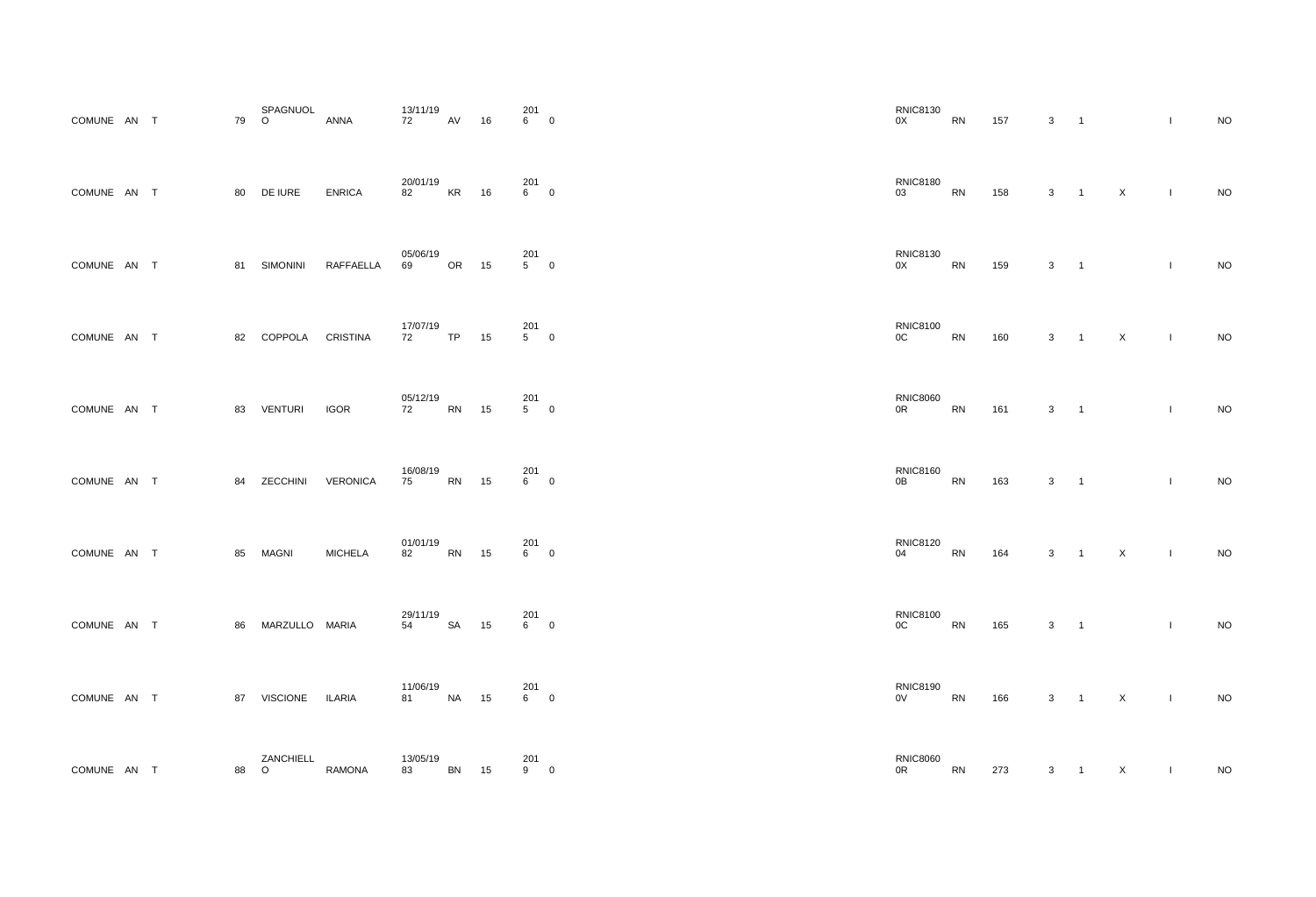| COMUNE AN T   |    |        | 79 | SPAGNUOL<br>O   | <b>ANNA</b>      | 13/11/19<br>72 | AV        | 16 | 201<br>6 | $\pmb{0}$               |
|---------------|----|--------|----|-----------------|------------------|----------------|-----------|----|----------|-------------------------|
| <b>COMUNE</b> | AN | $\top$ | 80 | DE IURE         | <b>ENRICA</b>    | 20/01/19<br>82 | <b>KR</b> | 16 | 201<br>6 | $\mathbf 0$             |
| COMUNE AN     |    | $\top$ | 81 | <b>SIMONINI</b> | <b>RAFFAELLA</b> | 05/06/19<br>69 | <b>OR</b> | 15 | 201<br>5 | $\boldsymbol{0}$        |
| COMUNE AN     |    | $\top$ | 82 | <b>COPPOLA</b>  | <b>CRISTINA</b>  | 17/07/19<br>72 | <b>TP</b> | 15 | 201<br>5 | $\mathbf 0$             |
| COMUNE AN     |    | $\top$ | 83 | <b>VENTURI</b>  | <b>IGOR</b>      | 05/12/19<br>72 | <b>RN</b> | 15 | 201<br>5 | $\pmb{0}$               |
| <b>COMUNE</b> | AN | $\top$ | 84 | ZECCHINI        | <b>VERONICA</b>  | 16/08/19<br>75 | <b>RN</b> | 15 | 201<br>6 | $\mathbf 0$             |
| COMUNE AN T   |    |        | 85 | <b>MAGNI</b>    | <b>MICHELA</b>   | 01/01/19<br>82 | <b>RN</b> | 15 | 201<br>6 | $\pmb{0}$               |
| COMUNE AN     |    | $\top$ | 86 | MARZULLO MARIA  |                  | 29/11/19<br>54 | <b>SA</b> | 15 | 201<br>6 | $\overline{\mathbf{0}}$ |
| COMUNE AN     |    | $\top$ | 87 | <b>VISCIONE</b> | <b>ILARIA</b>    | 11/06/19<br>81 | <b>NA</b> | 15 | 201<br>6 | $\pmb{0}$               |
| <b>COMUNE</b> | AN | $\top$ | 88 | ZANCHIELL<br>O  | <b>RAMONA</b>    | 13/05/19<br>83 | <b>BN</b> | 15 | 201<br>9 | $\pmb{0}$               |

| <b>RNIC8130</b><br>0X          | ${\sf RN}$ | 157 | 3          | $\mathbf 1$  |                           | $\mathsf I$                                                                                                                                                                                                                                                                                                                                                                      | <b>NO</b> |
|--------------------------------|------------|-----|------------|--------------|---------------------------|----------------------------------------------------------------------------------------------------------------------------------------------------------------------------------------------------------------------------------------------------------------------------------------------------------------------------------------------------------------------------------|-----------|
| <b>RNIC8180</b><br>03          | <b>RN</b>  | 158 | 3          | $\mathbf 1$  | $\mathsf X$               | $\mathsf I$                                                                                                                                                                                                                                                                                                                                                                      | <b>NO</b> |
| <b>RNIC8130</b><br>0X          | RN         | 159 | $\sqrt{3}$ | $\mathbf 1$  |                           | $\begin{array}{c} \hline \end{array}$                                                                                                                                                                                                                                                                                                                                            | <b>NO</b> |
| <b>RNIC8100</b><br>$0{\rm C}$  | <b>RN</b>  | 160 | $\sqrt{3}$ | $\mathbf{1}$ | $\boldsymbol{\mathsf{X}}$ | $\mathsf I$                                                                                                                                                                                                                                                                                                                                                                      | <b>NO</b> |
| <b>RNIC8060</b><br>0R          | <b>RN</b>  | 161 | $\sqrt{3}$ | $\mathbf 1$  |                           | $\mathbf{I}$                                                                                                                                                                                                                                                                                                                                                                     | <b>NO</b> |
| <b>RNIC8160</b><br>0B          | <b>RN</b>  | 163 | 3          | 1            |                           | $\begin{array}{c} \rule{0pt}{2.5ex} \rule{0pt}{2.5ex} \rule{0pt}{2.5ex} \rule{0pt}{2.5ex} \rule{0pt}{2.5ex} \rule{0pt}{2.5ex} \rule{0pt}{2.5ex} \rule{0pt}{2.5ex} \rule{0pt}{2.5ex} \rule{0pt}{2.5ex} \rule{0pt}{2.5ex} \rule{0pt}{2.5ex} \rule{0pt}{2.5ex} \rule{0pt}{2.5ex} \rule{0pt}{2.5ex} \rule{0pt}{2.5ex} \rule{0pt}{2.5ex} \rule{0pt}{2.5ex} \rule{0pt}{2.5ex} \rule{0$ | <b>NO</b> |
| <b>RNIC8120</b><br>04          | RN         | 164 | $\sqrt{3}$ | $\mathbf 1$  | $\pmb{\times}$            | $\mathbf{I}$                                                                                                                                                                                                                                                                                                                                                                     | NO        |
| <b>RNIC8100</b><br>$0{\rm C}$  | RN         | 165 | 3          | 1            |                           | I                                                                                                                                                                                                                                                                                                                                                                                | <b>NO</b> |
| <b>RNIC8190</b><br>$_{\rm OV}$ | RN         | 166 | $\sqrt{3}$ | $\mathbf 1$  | $\mathsf X$               | $\begin{array}{c} \rule{0pt}{2.5ex} \rule{0pt}{2.5ex} \rule{0pt}{2.5ex} \rule{0pt}{2.5ex} \rule{0pt}{2.5ex} \rule{0pt}{2.5ex} \rule{0pt}{2.5ex} \rule{0pt}{2.5ex} \rule{0pt}{2.5ex} \rule{0pt}{2.5ex} \rule{0pt}{2.5ex} \rule{0pt}{2.5ex} \rule{0pt}{2.5ex} \rule{0pt}{2.5ex} \rule{0pt}{2.5ex} \rule{0pt}{2.5ex} \rule{0pt}{2.5ex} \rule{0pt}{2.5ex} \rule{0pt}{2.5ex} \rule{0$ | <b>NO</b> |
| <b>RNIC8060</b><br>0R          | RN         | 273 | 3          | $\mathbf 1$  | $\mathsf X$               | I                                                                                                                                                                                                                                                                                                                                                                                | $NO$      |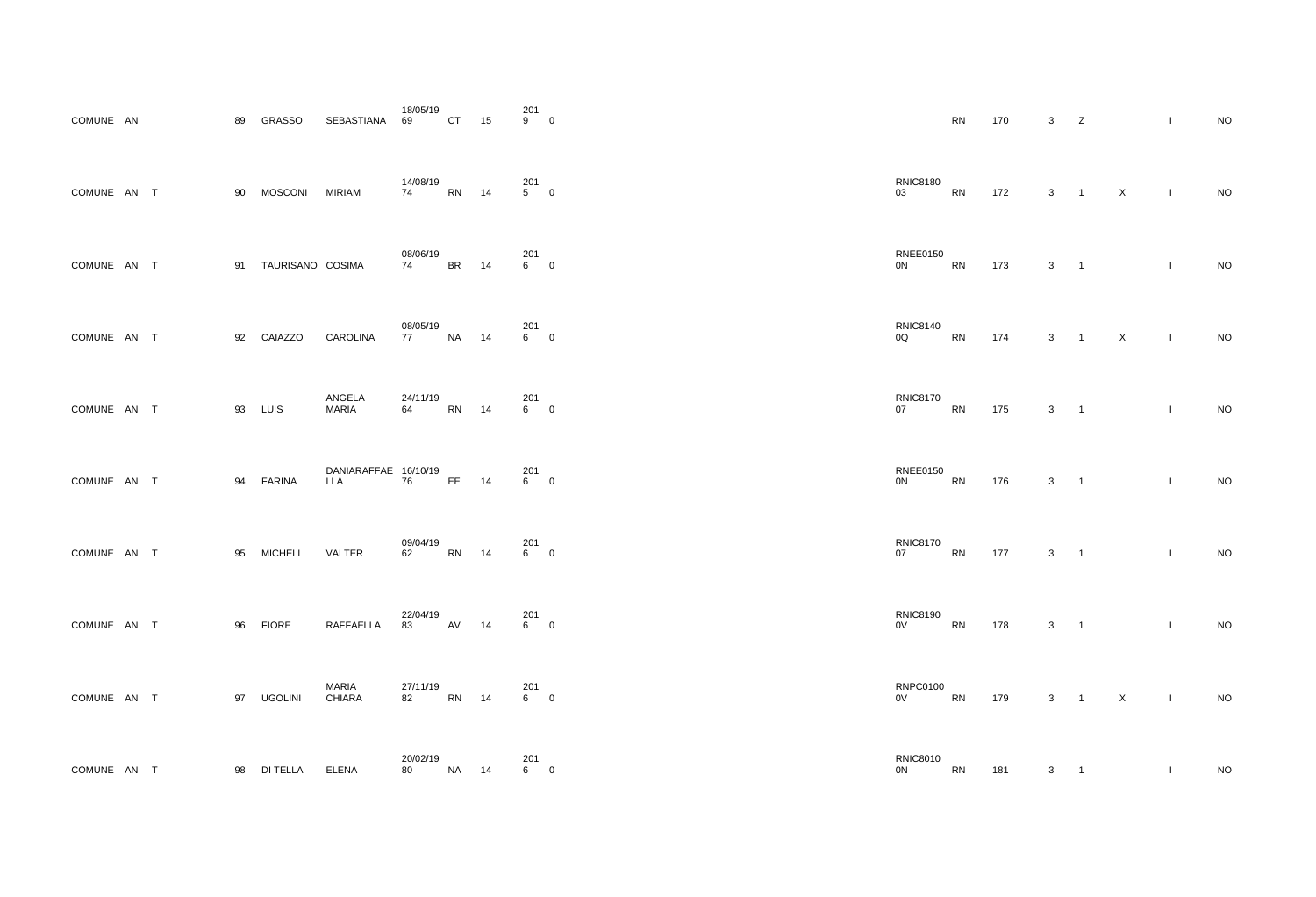| COMUNE AN     |      |        | 89 | <b>GRASSO</b>    | <b>SEBASTIANA</b>                  | 18/05/19<br>69 | <b>CT</b> | 15 | 201<br>9 | $\mathbf 0$      |
|---------------|------|--------|----|------------------|------------------------------------|----------------|-----------|----|----------|------------------|
| <b>COMUNE</b> | AN   | $\top$ | 90 | <b>MOSCONI</b>   | <b>MIRIAM</b>                      | 14/08/19<br>74 | <b>RN</b> | 14 | 201<br>5 | $\mathbf 0$      |
| <b>COMUNE</b> | AN   | $\top$ | 91 | TAURISANO COSIMA |                                    | 08/06/19<br>74 | <b>BR</b> | 14 | 201<br>6 | $\mathbf 0$      |
| <b>COMUNE</b> | AN   | $\top$ | 92 | CAIAZZO          | <b>CAROLINA</b>                    | 08/05/19<br>77 | <b>NA</b> | 14 | 201<br>6 | $\mathbf 0$      |
| <b>COMUNE</b> | AN   | $\top$ | 93 | LUIS             | ANGELA<br><b>MARIA</b>             | 24/11/19<br>64 | <b>RN</b> | 14 | 201<br>6 | $\mathbf 0$      |
| <b>COMUNE</b> | AN   | $\top$ | 94 | <b>FARINA</b>    | DANIARAFFAE 16/10/19<br><b>LLA</b> | 76             | EE        | 14 | 201<br>6 | $\mathbf 0$      |
| COMUNE AN T   |      |        | 95 | MICHELI VALTER   |                                    | 09/04/19<br>62 | <b>RN</b> | 14 | 201<br>6 | $\mathbf 0$      |
| COMUNE AN T   |      |        | 96 | <b>FIORE</b>     | RAFFAELLA                          | 22/04/19<br>83 | AV        | 14 | 201<br>6 | $\mathbf 0$      |
| COMUNE AN     |      | $\top$ | 97 | <b>UGOLINI</b>   | <b>MARIA</b><br><b>CHIARA</b>      | 27/11/19<br>82 | <b>RN</b> | 14 | 201<br>6 | $\boldsymbol{0}$ |
| <b>COMUNE</b> | AN T |        | 98 | <b>DI TELLA</b>  | <b>ELENA</b>                       | 20/02/19<br>80 | NA        | 14 | 201<br>6 | $\mathbf 0$      |

| $\frac{1}{9}$ 0     |                                                                                                                                                                                                                                                   | ${\sf RN}$ | 170 | $\mathbf{3}$<br>Z                          |                     |           | $\mathbf{I}$ | $\sf NO$ |
|---------------------|---------------------------------------------------------------------------------------------------------------------------------------------------------------------------------------------------------------------------------------------------|------------|-----|--------------------------------------------|---------------------|-----------|--------------|----------|
| 201<br>5         0  | <b>RNIC8180</b><br>03                                                                                                                                                                                                                             | ${\sf RN}$ | 172 |                                            | $3 \quad 1 \quad X$ |           | $\sim 1$     | $\rm NO$ |
| 201<br>6          0 | <b>RNEE0150</b><br>0N                                                                                                                                                                                                                             | <b>RN</b>  | 173 | $3 \quad 1$                                |                     |           | $\mathbf{I}$ | $\sf NO$ |
| 201<br>6         0  | <b>RNIC8140</b><br>0Q                                                                                                                                                                                                                             | ${\sf RN}$ | 174 |                                            | $3 \quad 1 \quad X$ | $\sim 1$  |              | $\sf NO$ |
| 201<br>6          0 | <b>RNIC8170</b><br>07                                                                                                                                                                                                                             | RN         | 175 | $3 \qquad 1$                               |                     |           | $\mathbf{I}$ | $\rm NO$ |
| 201<br>6          0 | <b>RNEE0150</b><br>0N                                                                                                                                                                                                                             | <b>RN</b>  | 176 | $3 \qquad 1$                               |                     |           | $\mathbf{I}$ | $\rm NO$ |
| 201<br>6         0  | <b>RNIC8170</b><br>07                                                                                                                                                                                                                             | RN         | 177 | $\mathbf{3}$<br>$\overline{\phantom{0}}$ 1 |                     |           | $\mathbf{I}$ | $\sf NO$ |
| 201<br>6         0  | <b>RNIC8190</b><br>OV Development of the control of the control of the control of the control of the control of the control of the control of the control of the control of the control of the control of the control of the control of the contr | RN         | 178 | $3 \quad 1$                                |                     |           | $\mathbf{L}$ | $\rm NO$ |
| 201<br>6         0  | <b>RNPC0100</b><br>0V RN                                                                                                                                                                                                                          |            | 179 |                                            | $3 \quad 1 \quad X$ | $\sim 10$ |              | $\sf NO$ |
| 201<br>6          0 | <b>RNIC8010</b><br>0N                                                                                                                                                                                                                             | <b>RN</b>  | 181 | $\mathbf{3}$                               |                     |           |              | $\rm NO$ |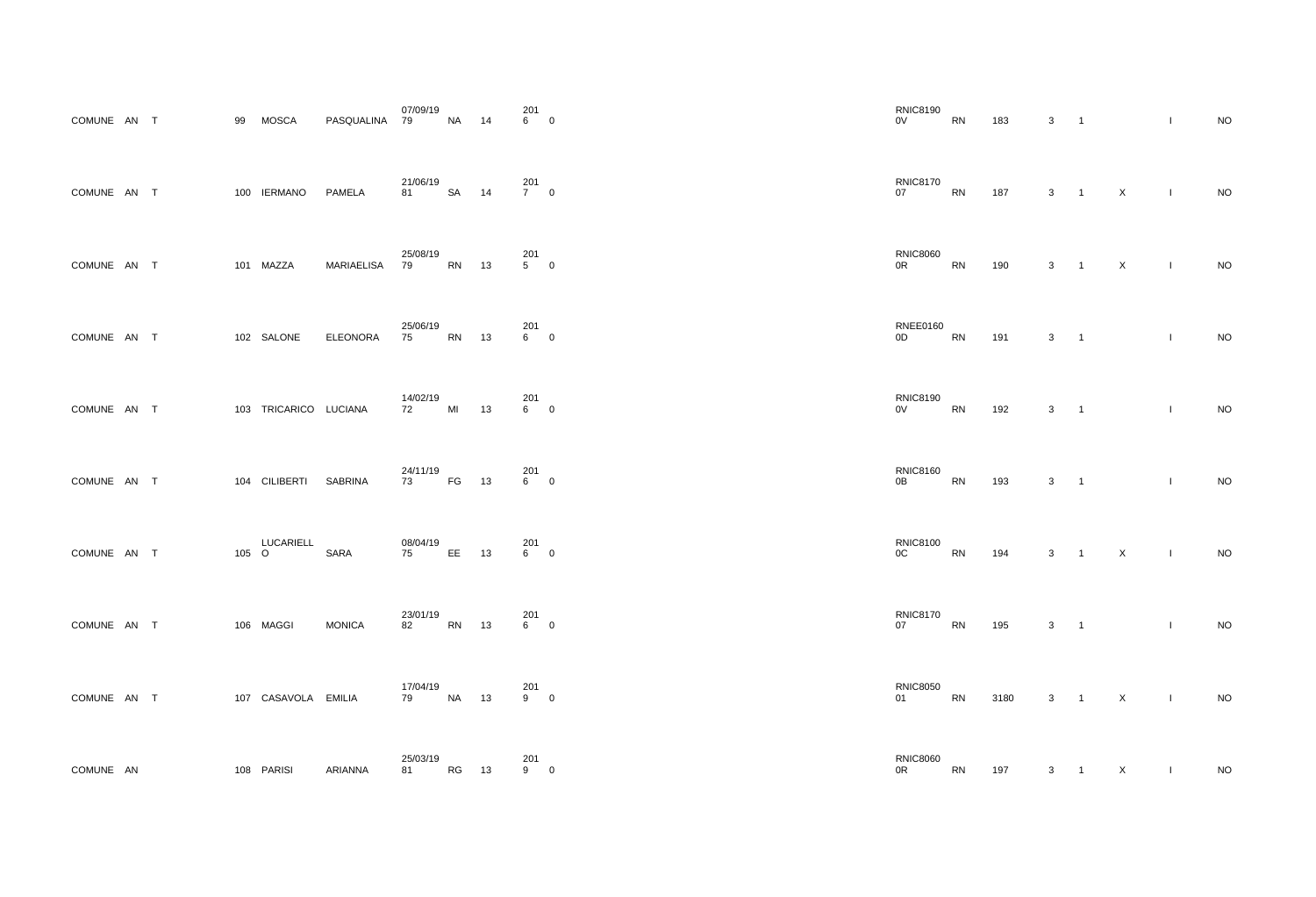| COMUNE AN T   |           |        | 99  | <b>MOSCA</b>                | PASQUALINA        | 07/09/19<br>79 | <b>NA</b> | 14 | 201<br>6           | $\mathbf 0$      |
|---------------|-----------|--------|-----|-----------------------------|-------------------|----------------|-----------|----|--------------------|------------------|
| <b>COMUNE</b> | AN        | $\top$ | 100 | <b>IERMANO</b>              | <b>PAMELA</b>     | 21/06/19<br>81 | <b>SA</b> | 14 | 201<br>$7^{\circ}$ | $\mathbf 0$      |
| <b>COMUNE</b> | <b>AN</b> | $\top$ | 101 | MAZZA                       | <b>MARIAELISA</b> | 25/08/19<br>79 | <b>RN</b> | 13 | 201<br>5           | $\mathbf 0$      |
| <b>COMUNE</b> | AN        | $\top$ |     | 102 SALONE                  | <b>ELEONORA</b>   | 25/06/19<br>75 | <b>RN</b> | 13 | 201<br>6           | $\mathbf 0$      |
| <b>COMUNE</b> | AN        | $\top$ | 103 | TRICARICO LUCIANA           |                   | 14/02/19<br>72 | MI        | 13 | 201<br>6           | $\mathbf 0$      |
| <b>COMUNE</b> | AN        | $\top$ | 104 | <b>CILIBERTI</b>            | <b>SABRINA</b>    | 24/11/19<br>73 | FG        | 13 | 201<br>6           | $\mathbf 0$      |
| COMUNE AN T   |           |        | 105 | <b>LUCARIELL</b><br>$\circ$ | <b>SARA</b>       | 08/04/19<br>75 | EE        | 13 | 201<br>6           | $\pmb{0}$        |
| <b>COMUNE</b> | AN        | $\top$ |     | 106 MAGGI                   | <b>MONICA</b>     | 23/01/19<br>82 | <b>RN</b> | 13 | 201<br>6           | $\boldsymbol{0}$ |
| COMUNE AN     |           | $\top$ |     | 107 CASAVOLA EMILIA         |                   | 17/04/19<br>79 | <b>NA</b> | 13 | 201<br>9           | $\pmb{0}$        |
| <b>COMUNE</b> | <b>AN</b> |        |     | 108 PARISI                  | <b>ARIANNA</b>    | 25/03/19<br>81 | <b>RG</b> | 13 | 201<br>9           | $\pmb{0}$        |

| <b>RNIC8190</b><br>0V            | <b>RN</b> | 183  | 3 | $\mathbf 1$ |             | $\mathsf I$                                                                                                                                                                                                                                                                                                                                                                      | <b>NO</b> |
|----------------------------------|-----------|------|---|-------------|-------------|----------------------------------------------------------------------------------------------------------------------------------------------------------------------------------------------------------------------------------------------------------------------------------------------------------------------------------------------------------------------------------|-----------|
| <b>RNIC8170</b><br>07            | <b>RN</b> | 187  | 3 | $\mathbf 1$ | $\mathsf X$ | $\begin{array}{c} \rule{0pt}{2.5ex} \rule{0pt}{2.5ex} \rule{0pt}{2.5ex} \rule{0pt}{2.5ex} \rule{0pt}{2.5ex} \rule{0pt}{2.5ex} \rule{0pt}{2.5ex} \rule{0pt}{2.5ex} \rule{0pt}{2.5ex} \rule{0pt}{2.5ex} \rule{0pt}{2.5ex} \rule{0pt}{2.5ex} \rule{0pt}{2.5ex} \rule{0pt}{2.5ex} \rule{0pt}{2.5ex} \rule{0pt}{2.5ex} \rule{0pt}{2.5ex} \rule{0pt}{2.5ex} \rule{0pt}{2.5ex} \rule{0$ | <b>NO</b> |
| <b>RNIC8060</b><br>0R            | RN        | 190  | 3 | $\mathbf 1$ | X           | $\mathsf I$                                                                                                                                                                                                                                                                                                                                                                      | <b>NO</b> |
| <b>RNEE0160</b><br>0D            | <b>RN</b> | 191  | 3 | $\mathbf 1$ |             | $\mathsf I$                                                                                                                                                                                                                                                                                                                                                                      | <b>NO</b> |
| <b>RNIC8190</b><br>0V            | <b>RN</b> | 192  | 3 | $\mathbf 1$ |             | $\begin{array}{c} \hline \end{array}$                                                                                                                                                                                                                                                                                                                                            | <b>NO</b> |
| <b>RNIC8160</b><br>0B            | <b>RN</b> | 193  | 3 | 1           |             | $\begin{array}{c} \rule{0pt}{2.5ex} \rule{0pt}{2.5ex} \rule{0pt}{2.5ex} \rule{0pt}{2.5ex} \rule{0pt}{2.5ex} \rule{0pt}{2.5ex} \rule{0pt}{2.5ex} \rule{0pt}{2.5ex} \rule{0pt}{2.5ex} \rule{0pt}{2.5ex} \rule{0pt}{2.5ex} \rule{0pt}{2.5ex} \rule{0pt}{2.5ex} \rule{0pt}{2.5ex} \rule{0pt}{2.5ex} \rule{0pt}{2.5ex} \rule{0pt}{2.5ex} \rule{0pt}{2.5ex} \rule{0pt}{2.5ex} \rule{0$ | <b>NO</b> |
| <b>RNIC8100</b><br>$0\mathrm{C}$ | RN        | 194  | 3 | $\mathbf 1$ | $\mathsf X$ | $\mathsf I$                                                                                                                                                                                                                                                                                                                                                                      | NO        |
| <b>RNIC8170</b><br>07            | RN        | 195  | 3 | $\mathbf 1$ |             | $\pmb{ }$                                                                                                                                                                                                                                                                                                                                                                        | <b>NO</b> |
| <b>RNIC8050</b><br>01            | RN        | 3180 | 3 | $\mathbf 1$ | $\mathsf X$ | $\mathsf I$                                                                                                                                                                                                                                                                                                                                                                      | <b>NO</b> |
| <b>RNIC8060</b><br>0R            | RN        | 197  | 3 | $\mathbf 1$ | X           | I                                                                                                                                                                                                                                                                                                                                                                                | $NO$      |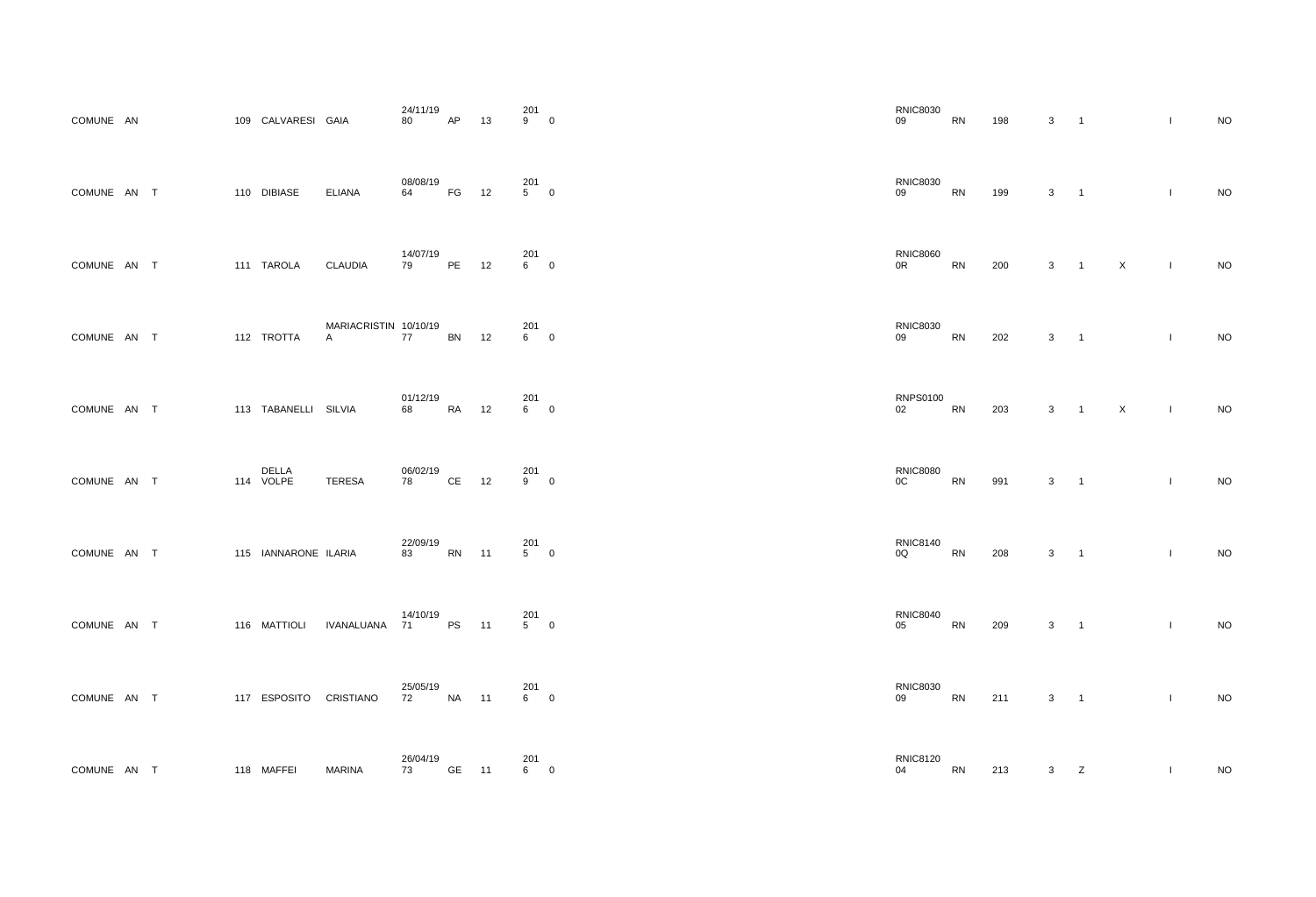| COMUNE AN   |        | 109 CALVARESI GAIA     |                            | 24/11/19<br>80      | <b>AP</b> | 13 | 201<br>9              | $\mathbf 0$      |
|-------------|--------|------------------------|----------------------------|---------------------|-----------|----|-----------------------|------------------|
| COMUNE AN T |        | 110 DIBIASE            | <b>ELIANA</b>              | 08/08/19<br>64 — 10 | FG        | 12 | 201<br>5 <sub>5</sub> | $\mathbf 0$      |
| COMUNE AN T |        | 111 TAROLA CLAUDIA     |                            | 14/07/19<br>79      | PE        | 12 | 201<br>6              | $\mathbf 0$      |
| COMUNE AN T |        | 112 TROTTA             | MARIACRISTIN 10/10/19<br>A | 77                  | <b>BN</b> | 12 | 201<br>6              | $\mathbf 0$      |
| COMUNE AN T |        | 113 TABANELLI SILVIA   |                            | 01/12/19<br>68 — 10 | <b>RA</b> | 12 | 201<br>6              | $\mathbf 0$      |
| COMUNE AN   | $\top$ | DELLA<br>114 VOLPE     | <b>TERESA</b>              | 06/02/19<br>78 — 1  | CE        | 12 | 201<br>9              | 0                |
| COMUNE AN T |        | 115 IANNARONE ILARIA   |                            | 22/09/19<br>83      | RN        | 11 | 201<br>5              | $\pmb{0}$        |
| COMUNE AN T |        |                        | 116 MATTIOLI IVANALUANA    | 14/10/19<br>71 —    | <b>PS</b> | 11 | 201<br>5 <sub>5</sub> | $\mathbf 0$      |
| COMUNE AN T |        | 117 ESPOSITO CRISTIANO |                            | 25/05/19<br>72      | <b>NA</b> | 11 | 201<br>6              | $\pmb{0}$        |
| COMUNE AN T |        | 118 MAFFEI             | <b>MARINA</b>              | 26/04/19<br>73      | <b>GE</b> | 11 | 201<br>6              | $\boldsymbol{0}$ |

| <b>RNIC8030</b><br>09 | <b>RN</b> | 198 | 3 | $\mathbf 1$  |                | I                                                                                                                                                                                                                                                                                                                                                                                | <b>NO</b> |
|-----------------------|-----------|-----|---|--------------|----------------|----------------------------------------------------------------------------------------------------------------------------------------------------------------------------------------------------------------------------------------------------------------------------------------------------------------------------------------------------------------------------------|-----------|
| <b>RNIC8030</b><br>09 | <b>RN</b> | 199 | 3 | 1            |                | $\begin{array}{c} \rule{0pt}{2.5ex} \rule{0pt}{2.5ex} \rule{0pt}{2.5ex} \rule{0pt}{2.5ex} \rule{0pt}{2.5ex} \rule{0pt}{2.5ex} \rule{0pt}{2.5ex} \rule{0pt}{2.5ex} \rule{0pt}{2.5ex} \rule{0pt}{2.5ex} \rule{0pt}{2.5ex} \rule{0pt}{2.5ex} \rule{0pt}{2.5ex} \rule{0pt}{2.5ex} \rule{0pt}{2.5ex} \rule{0pt}{2.5ex} \rule{0pt}{2.5ex} \rule{0pt}{2.5ex} \rule{0pt}{2.5ex} \rule{0$ | <b>NO</b> |
| <b>RNIC8060</b><br>0R | <b>RN</b> | 200 | 3 | $\mathbf 1$  | $\pmb{\times}$ | $\mathsf I$                                                                                                                                                                                                                                                                                                                                                                      | <b>NO</b> |
| <b>RNIC8030</b><br>09 | <b>RN</b> | 202 | 3 | $\mathbf 1$  |                | $\mathsf I$                                                                                                                                                                                                                                                                                                                                                                      | <b>NO</b> |
| <b>RNPS0100</b><br>02 | <b>RN</b> | 203 | 3 | $\mathbf 1$  | $\mathsf X$    | $\mathsf I$                                                                                                                                                                                                                                                                                                                                                                      | <b>NO</b> |
| <b>RNIC8080</b><br>OC | <b>RN</b> | 991 | 3 | 1            |                | $\begin{array}{c} \rule{0pt}{2.5ex} \rule{0pt}{2.5ex} \rule{0pt}{2.5ex} \rule{0pt}{2.5ex} \rule{0pt}{2.5ex} \rule{0pt}{2.5ex} \rule{0pt}{2.5ex} \rule{0pt}{2.5ex} \rule{0pt}{2.5ex} \rule{0pt}{2.5ex} \rule{0pt}{2.5ex} \rule{0pt}{2.5ex} \rule{0pt}{2.5ex} \rule{0pt}{2.5ex} \rule{0pt}{2.5ex} \rule{0pt}{2.5ex} \rule{0pt}{2.5ex} \rule{0pt}{2.5ex} \rule{0pt}{2.5ex} \rule{0$ | <b>NO</b> |
| <b>RNIC8140</b><br>0Q | <b>RN</b> | 208 | 3 | $\mathbf 1$  |                | $\mathsf I$                                                                                                                                                                                                                                                                                                                                                                      | NO        |
| <b>RNIC8040</b><br>05 | RN        | 209 | 3 | $\mathbf 1$  |                | $\begin{array}{c} \rule{0pt}{2.5ex} \rule{0pt}{2.5ex} \rule{0pt}{2.5ex} \rule{0pt}{2.5ex} \rule{0pt}{2.5ex} \rule{0pt}{2.5ex} \rule{0pt}{2.5ex} \rule{0pt}{2.5ex} \rule{0pt}{2.5ex} \rule{0pt}{2.5ex} \rule{0pt}{2.5ex} \rule{0pt}{2.5ex} \rule{0pt}{2.5ex} \rule{0pt}{2.5ex} \rule{0pt}{2.5ex} \rule{0pt}{2.5ex} \rule{0pt}{2.5ex} \rule{0pt}{2.5ex} \rule{0pt}{2.5ex} \rule{0$ | <b>NO</b> |
| <b>RNIC8030</b><br>09 | RN        | 211 | 3 | $\mathbf{1}$ |                | $\mathsf I$                                                                                                                                                                                                                                                                                                                                                                      | <b>NO</b> |
| <b>RNIC8120</b><br>04 | RN        | 213 | 3 | Z            |                | I                                                                                                                                                                                                                                                                                                                                                                                | $NO$      |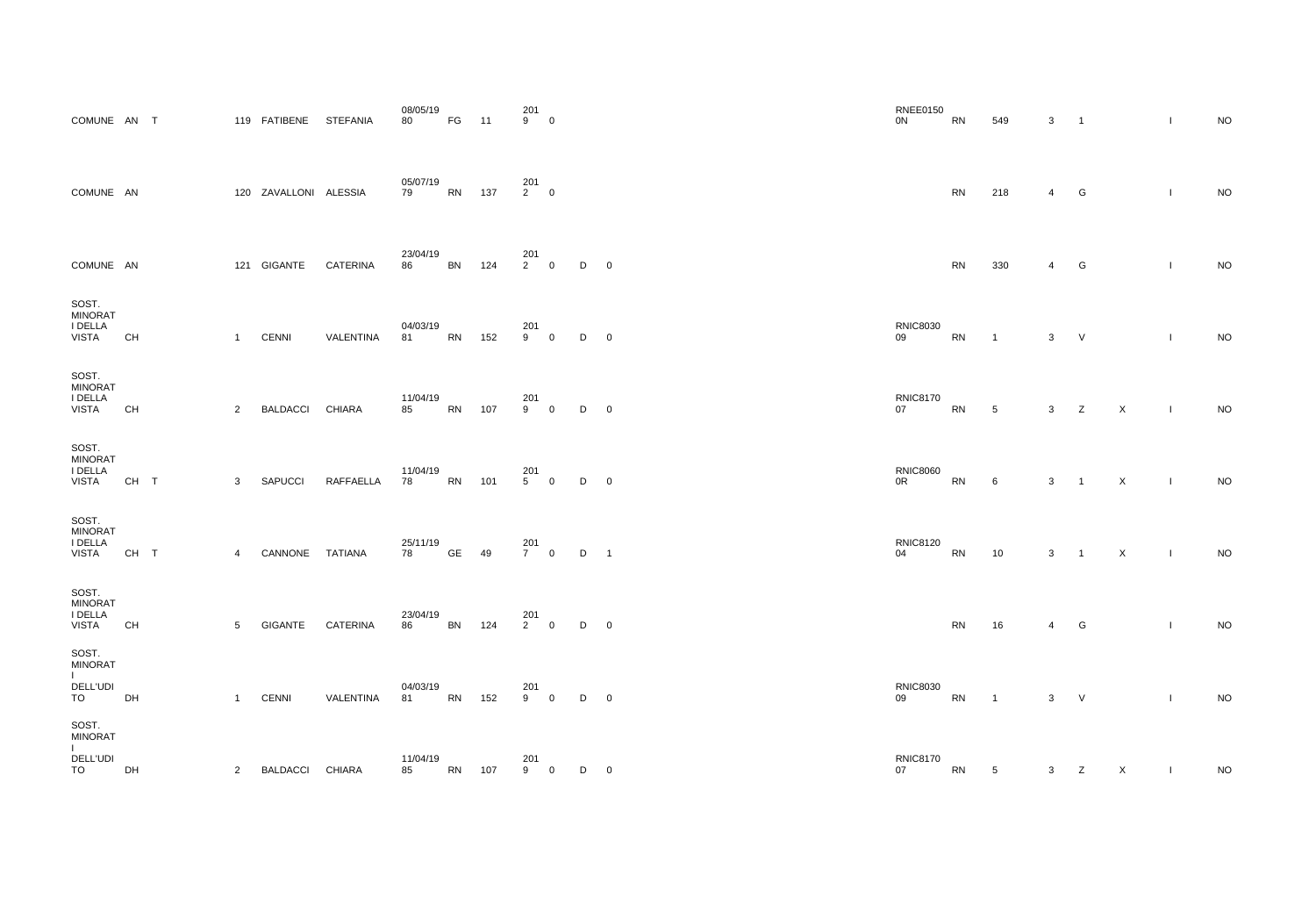| <b>COMUNE</b>                                         | AN        | $\top$ |                | 119 FATIBENE          | <b>STEFANIA</b>  | 08/05/19<br>80 | FG        | 11  | 201<br>9              | $\pmb{0}$   |   |             |
|-------------------------------------------------------|-----------|--------|----------------|-----------------------|------------------|----------------|-----------|-----|-----------------------|-------------|---|-------------|
| <b>COMUNE</b>                                         | - AN      |        |                | 120 ZAVALLONI ALESSIA |                  | 05/07/19<br>79 | <b>RN</b> | 137 | 201<br>$\overline{2}$ | $\mathbf 0$ |   |             |
| <b>COMUNE</b>                                         | <b>AN</b> |        | 121            | <b>GIGANTE</b>        | <b>CATERINA</b>  | 23/04/19<br>86 | <b>BN</b> | 124 | 201<br>$\overline{2}$ | $\pmb{0}$   | D | $\mathbf 0$ |
| SOST.<br><b>MINORAT</b><br>I DELLA<br><b>VISTA</b>    | <b>CH</b> |        | $\mathbf{1}$   | <b>CENNI</b>          | <b>VALENTINA</b> | 04/03/19<br>81 | <b>RN</b> | 152 | 201<br>9              | $\pmb{0}$   | D | 0           |
| SOST.<br><b>MINORAT</b><br>I DELLA<br><b>VISTA</b>    | <b>CH</b> |        | $\overline{2}$ | <b>BALDACCI</b>       | <b>CHIARA</b>    | 11/04/19<br>85 | <b>RN</b> | 107 | 201<br>9              | $\pmb{0}$   | D | 0           |
| SOST.<br><b>MINORAT</b><br>I DELLA<br><b>VISTA</b>    | CH T      |        | 3              | <b>SAPUCCI</b>        | RAFFAELLA        | 11/04/19<br>78 | <b>RN</b> | 101 | 201<br>5              | $\pmb{0}$   | D | $\mathbf 0$ |
| SOST.<br><b>MINORAT</b><br>I DELLA<br><b>VISTA</b>    | CH T      |        | $\overline{4}$ | CANNONE               | <b>TATIANA</b>   | 25/11/19<br>78 | <b>GE</b> | 49  | 201<br>7 <sup>1</sup> | $\pmb{0}$   | D | 1           |
| SOST.<br><b>MINORAT</b><br>I DELLA<br><b>VISTA</b>    | <b>CH</b> |        | 5              | <b>GIGANTE</b>        | <b>CATERINA</b>  | 23/04/19<br>86 | <b>BN</b> | 124 | 201<br>2 <sup>7</sup> | $\pmb{0}$   | D | 0           |
| SOST.<br><b>MINORAT</b><br>L<br><b>DELL'UDI</b><br>TO | DH        |        | $\mathbf{1}$   | <b>CENNI</b>          | VALENTINA        | 04/03/19<br>81 | <b>RN</b> | 152 | 201<br>9              | $\pmb{0}$   | D | 0           |
| SOST.<br><b>MINORAT</b><br>L<br><b>DELL'UDI</b>       |           |        |                |                       |                  | 11/04/19       |           |     | 201                   |             |   |             |
| TO                                                    | DH        |        | $\overline{2}$ | <b>BALDACCI</b>       | <b>CHIARA</b>    | 85             | <b>RN</b> | 107 | 9                     | $\pmb{0}$   | D | 0           |

| 201<br>9         0 |                |              |                         | <b>RNEE0150</b><br>$0{\sf N}$     | RN         | 549            | $3 \qquad 1$   |                     |                | $\mathbf{L}$                  | <b>NO</b> |
|--------------------|----------------|--------------|-------------------------|-----------------------------------|------------|----------------|----------------|---------------------|----------------|-------------------------------|-----------|
| 201<br>2        0  |                |              |                         |                                   | RN         | 218            | $\overline{4}$ | G                   |                | $\mathbf{I}$                  | $\rm NO$  |
| 201<br>2        0  |                | $\mathsf D$  | $\overline{\mathbf{0}}$ |                                   | ${\sf RN}$ | 330            | $\overline{4}$ | $\overline{G}$      |                | $\mathbf{I}$                  | $\rm NO$  |
| 201<br>9 0         |                | D            | $\overline{\mathbf{0}}$ | <b>RNIC8030</b><br>09             | ${\sf RN}$ | $\mathbf{1}$   | $\mathbf{3}$   | $\vee$              |                | $\mathbf{L}$                  | $\sf NO$  |
| 201<br>9         0 |                | D            | $\overline{\mathbf{0}}$ | <b>RNIC8170</b><br>07             | ${\sf RN}$ | $\overline{5}$ |                | $3 \t Z \t X$       |                | $\mathbf{L}$                  | $NO$      |
| 201<br>5         0 |                | D            | $\overline{\mathbf{0}}$ | <b>RNIC8060</b><br>0 <sup>R</sup> | RN         | $\,6\,$        | $3 \quad 1$    |                     | $\mathsf{X}^-$ | $\mathbf{1}$                  | $\rm NO$  |
| 201<br>7         0 |                | D 1          |                         | <b>RNIC8120</b><br>04             | ${\sf RN}$ | 10             |                | $3 \quad 1 \quad X$ |                | $\mathbf{1}$ and $\mathbf{1}$ | <b>NO</b> |
| 201<br>2        0  |                | D            | $\overline{\mathbf{0}}$ |                                   | RN         | 16             | $\overline{4}$ | G                   |                | $\mathbf{I}$                  | $\sf NO$  |
| 201<br>9         0 |                | $\mathsf D$  | $\overline{\mathbf{0}}$ | <b>RNIC8030</b><br>09             | RN         | $\mathbf{1}$   | $3$ V          |                     |                | $\mathbf{I}$                  | $\sf NO$  |
| 201<br>9           | $\overline{0}$ | $D \qquad 0$ |                         | <b>RNIC8170</b><br>07             | ${\sf RN}$ | $\overline{5}$ |                | $3 \t Z$            | $\mathsf{X}^-$ | $\Gamma$ .                    | $\rm NO$  |